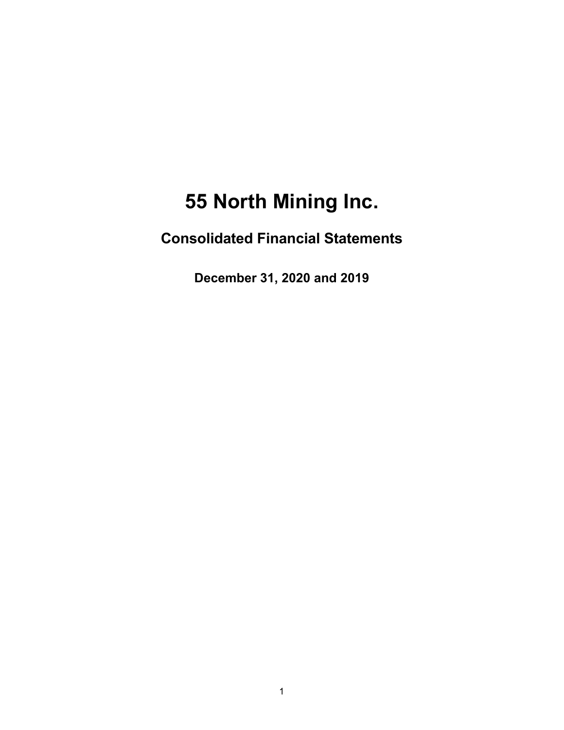# **55 North Mining Inc.**

# **Consolidated Financial Statements**

**December 31, 2020 and 2019**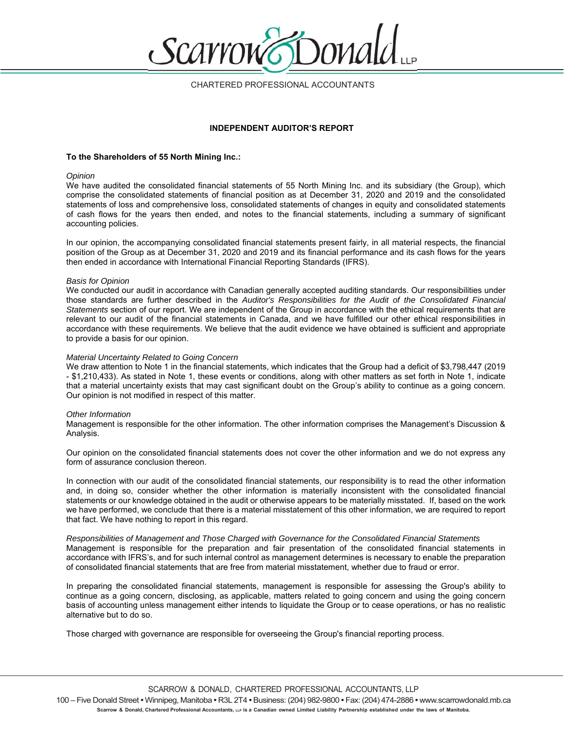

CHARTERED PROFESSIONAL ACCOUNTANTS

#### **INDEPENDENT AUDITOR'S REPORT**

#### **To the Shareholders of 55 North Mining Inc.:**

#### *Opinion*

We have audited the consolidated financial statements of 55 North Mining Inc. and its subsidiary (the Group), which comprise the consolidated statements of financial position as at December 31, 2020 and 2019 and the consolidated statements of loss and comprehensive loss, consolidated statements of changes in equity and consolidated statements of cash flows for the years then ended, and notes to the financial statements, including a summary of significant accounting policies.

In our opinion, the accompanying consolidated financial statements present fairly, in all material respects, the financial position of the Group as at December 31, 2020 and 2019 and its financial performance and its cash flows for the years then ended in accordance with International Financial Reporting Standards (IFRS).

#### *Basis for Opinion*

We conducted our audit in accordance with Canadian generally accepted auditing standards. Our responsibilities under those standards are further described in the *Auditor's Responsibilities for the Audit of the Consolidated Financial Statements* section of our report. We are independent of the Group in accordance with the ethical requirements that are relevant to our audit of the financial statements in Canada, and we have fulfilled our other ethical responsibilities in accordance with these requirements. We believe that the audit evidence we have obtained is sufficient and appropriate to provide a basis for our opinion.

#### *Material Uncertainty Related to Going Concern*

We draw attention to Note 1 in the financial statements, which indicates that the Group had a deficit of \$3,798,447 (2019 - \$1,210,433). As stated in Note 1, these events or conditions, along with other matters as set forth in Note 1, indicate that a material uncertainty exists that may cast significant doubt on the Group's ability to continue as a going concern. Our opinion is not modified in respect of this matter.

#### *Other Information*

Management is responsible for the other information. The other information comprises the Management's Discussion & Analysis.

Our opinion on the consolidated financial statements does not cover the other information and we do not express any form of assurance conclusion thereon.

In connection with our audit of the consolidated financial statements, our responsibility is to read the other information and, in doing so, consider whether the other information is materially inconsistent with the consolidated financial statements or our knowledge obtained in the audit or otherwise appears to be materially misstated. If, based on the work we have performed, we conclude that there is a material misstatement of this other information, we are required to report that fact. We have nothing to report in this regard.

*Responsibilities of Management and Those Charged with Governance for the Consolidated Financial Statements*  Management is responsible for the preparation and fair presentation of the consolidated financial statements in accordance with IFRS's, and for such internal control as management determines is necessary to enable the preparation of consolidated financial statements that are free from material misstatement, whether due to fraud or error.

In preparing the consolidated financial statements, management is responsible for assessing the Group's ability to continue as a going concern, disclosing, as applicable, matters related to going concern and using the going concern basis of accounting unless management either intends to liquidate the Group or to cease operations, or has no realistic alternative but to do so.

Those charged with governance are responsible for overseeing the Group's financial reporting process.

SCARROW & DONALD, CHARTERED PROFESSIONAL ACCOUNTANTS, LLP

100 – Five Donald Street **•** Winnipeg, Manitoba **•** R3L 2T4 **•** Business: (204) 982-9800 **•** Fax: (204) 474-2886 **•** www.scarrowdonald.mb.ca Scarrow & Donald, Chartered Professional Accountants, LLP is a Canadian owned Limited Liability Partnership established under the laws of Manitoba.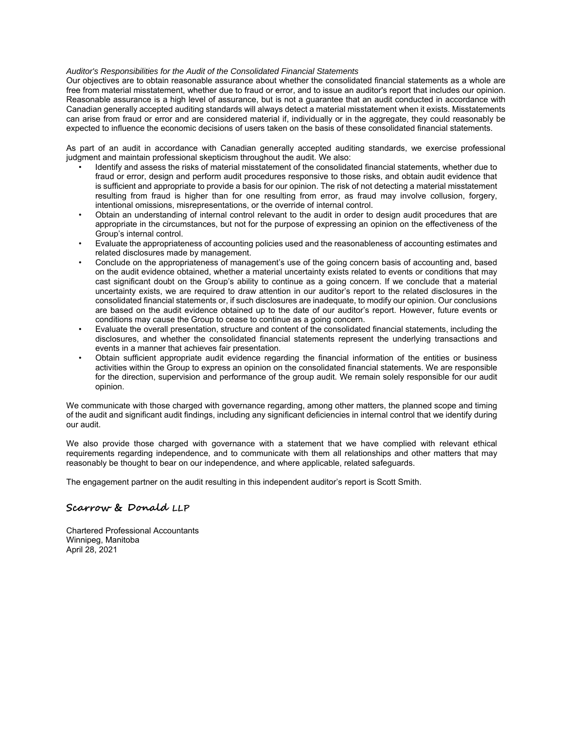#### *Auditor's Responsibilities for the Audit of the Consolidated Financial Statements*

Our objectives are to obtain reasonable assurance about whether the consolidated financial statements as a whole are free from material misstatement, whether due to fraud or error, and to issue an auditor's report that includes our opinion. Reasonable assurance is a high level of assurance, but is not a guarantee that an audit conducted in accordance with Canadian generally accepted auditing standards will always detect a material misstatement when it exists. Misstatements can arise from fraud or error and are considered material if, individually or in the aggregate, they could reasonably be expected to influence the economic decisions of users taken on the basis of these consolidated financial statements.

As part of an audit in accordance with Canadian generally accepted auditing standards, we exercise professional judgment and maintain professional skepticism throughout the audit. We also:

- Identify and assess the risks of material misstatement of the consolidated financial statements, whether due to fraud or error, design and perform audit procedures responsive to those risks, and obtain audit evidence that is sufficient and appropriate to provide a basis for our opinion. The risk of not detecting a material misstatement resulting from fraud is higher than for one resulting from error, as fraud may involve collusion, forgery, intentional omissions, misrepresentations, or the override of internal control.
- Obtain an understanding of internal control relevant to the audit in order to design audit procedures that are appropriate in the circumstances, but not for the purpose of expressing an opinion on the effectiveness of the Group's internal control.
- Evaluate the appropriateness of accounting policies used and the reasonableness of accounting estimates and related disclosures made by management.
- Conclude on the appropriateness of management's use of the going concern basis of accounting and, based on the audit evidence obtained, whether a material uncertainty exists related to events or conditions that may cast significant doubt on the Group's ability to continue as a going concern. If we conclude that a material uncertainty exists, we are required to draw attention in our auditor's report to the related disclosures in the consolidated financial statements or, if such disclosures are inadequate, to modify our opinion. Our conclusions are based on the audit evidence obtained up to the date of our auditor's report. However, future events or conditions may cause the Group to cease to continue as a going concern.
- Evaluate the overall presentation, structure and content of the consolidated financial statements, including the disclosures, and whether the consolidated financial statements represent the underlying transactions and events in a manner that achieves fair presentation.
- Obtain sufficient appropriate audit evidence regarding the financial information of the entities or business activities within the Group to express an opinion on the consolidated financial statements. We are responsible for the direction, supervision and performance of the group audit. We remain solely responsible for our audit opinion.

We communicate with those charged with governance regarding, among other matters, the planned scope and timing of the audit and significant audit findings, including any significant deficiencies in internal control that we identify during our audit.

We also provide those charged with governance with a statement that we have complied with relevant ethical requirements regarding independence, and to communicate with them all relationships and other matters that may reasonably be thought to bear on our independence, and where applicable, related safeguards.

The engagement partner on the audit resulting in this independent auditor's report is Scott Smith.

#### **Scarrow & Donald LLP**

Chartered Professional Accountants Winnipeg, Manitoba April 28, 2021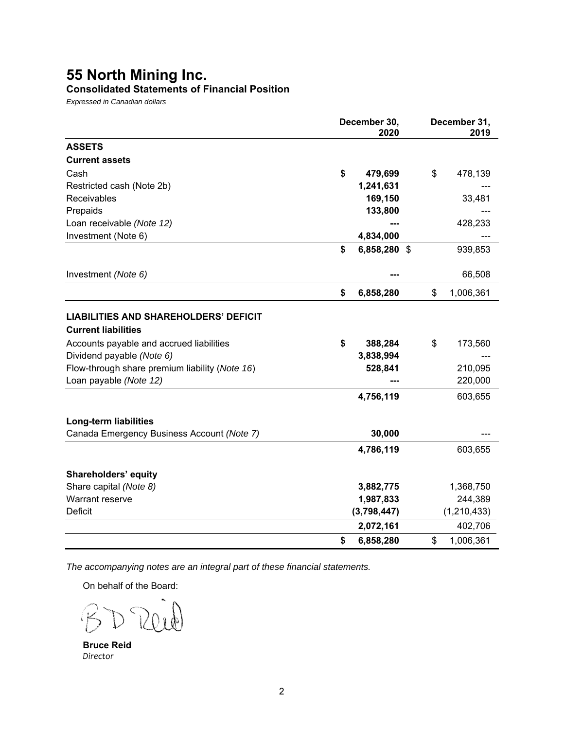# **55 North Mining Inc.**

### **Consolidated Statements of Financial Position**

*Expressed in Canadian dollars* 

|                                                                                                                                                                                                                                 |           | December 30,<br>2020                         |    | December 31,<br>2019                     |
|---------------------------------------------------------------------------------------------------------------------------------------------------------------------------------------------------------------------------------|-----------|----------------------------------------------|----|------------------------------------------|
| <b>ASSETS</b>                                                                                                                                                                                                                   |           |                                              |    |                                          |
| <b>Current assets</b>                                                                                                                                                                                                           |           |                                              |    |                                          |
| Cash                                                                                                                                                                                                                            | \$        | 479,699                                      | \$ | 478,139                                  |
| Restricted cash (Note 2b)                                                                                                                                                                                                       |           | 1,241,631                                    |    |                                          |
| Receivables                                                                                                                                                                                                                     |           | 169,150                                      |    | 33,481                                   |
| Prepaids                                                                                                                                                                                                                        |           | 133,800                                      |    |                                          |
| Loan receivable (Note 12)                                                                                                                                                                                                       |           |                                              |    | 428,233                                  |
| Investment (Note 6)                                                                                                                                                                                                             | 4,834,000 |                                              |    |                                          |
|                                                                                                                                                                                                                                 | \$        | 6,858,280 \$                                 |    | 939,853                                  |
| Investment (Note 6)                                                                                                                                                                                                             |           | ---                                          |    | 66,508                                   |
|                                                                                                                                                                                                                                 | \$        | 6,858,280                                    | \$ | 1,006,361                                |
| <b>LIABILITIES AND SHAREHOLDERS' DEFICIT</b><br><b>Current liabilities</b><br>Accounts payable and accrued liabilities<br>Dividend payable (Note 6)<br>Flow-through share premium liability (Note 16)<br>Loan payable (Note 12) | \$        | 388,284<br>3,838,994<br>528,841<br>4,756,119 | \$ | 173,560<br>210,095<br>220,000<br>603,655 |
| Long-term liabilities                                                                                                                                                                                                           |           |                                              |    |                                          |
| Canada Emergency Business Account (Note 7)                                                                                                                                                                                      |           | 30,000                                       |    |                                          |
|                                                                                                                                                                                                                                 |           | 4,786,119                                    |    | 603,655                                  |
| Shareholders' equity                                                                                                                                                                                                            |           |                                              |    |                                          |
| Share capital (Note 8)                                                                                                                                                                                                          |           | 3,882,775                                    |    | 1,368,750                                |
| Warrant reserve                                                                                                                                                                                                                 |           | 1,987,833                                    |    | 244,389                                  |
| <b>Deficit</b>                                                                                                                                                                                                                  |           | (3,798,447)                                  |    | (1, 210, 433)                            |
|                                                                                                                                                                                                                                 |           | 2,072,161                                    |    | 402,706                                  |
|                                                                                                                                                                                                                                 | \$        | 6,858,280                                    | \$ | 1,006,361                                |

*The accompanying notes are an integral part of these financial statements.*

On behalf of the Board:

ίķ

**Bruce Reid**  *Director*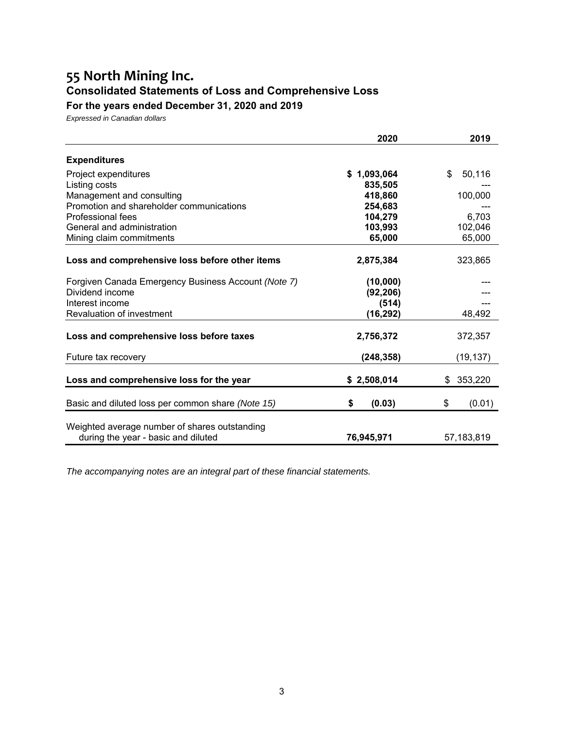# **55 North Mining Inc. Consolidated Statements of Loss and Comprehensive Loss For the years ended December 31, 2020 and 2019**

*Expressed in Canadian dollars* 

|                                                                                      | 2020         | 2019          |
|--------------------------------------------------------------------------------------|--------------|---------------|
| <b>Expenditures</b>                                                                  |              |               |
| Project expenditures                                                                 | \$1,093,064  | \$<br>50,116  |
| Listing costs                                                                        | 835,505      |               |
| Management and consulting                                                            | 418,860      | 100,000       |
| Promotion and shareholder communications                                             | 254,683      |               |
| Professional fees                                                                    | 104,279      | 6,703         |
| General and administration                                                           | 103,993      | 102,046       |
| Mining claim commitments                                                             | 65,000       | 65,000        |
| Loss and comprehensive loss before other items                                       | 2,875,384    | 323,865       |
| Forgiven Canada Emergency Business Account (Note 7)                                  | (10,000)     |               |
| Dividend income                                                                      | (92, 206)    |               |
| Interest income                                                                      | (514)        |               |
| Revaluation of investment                                                            | (16, 292)    | 48,492        |
| Loss and comprehensive loss before taxes                                             | 2,756,372    | 372,357       |
| Future tax recovery                                                                  | (248, 358)   | (19, 137)     |
| Loss and comprehensive loss for the year                                             | \$2,508,014  | 353,220<br>\$ |
| Basic and diluted loss per common share (Note 15)                                    | (0.03)<br>\$ | \$<br>(0.01)  |
| Weighted average number of shares outstanding<br>during the year - basic and diluted | 76,945,971   | 57,183,819    |

*The accompanying notes are an integral part of these financial statements.*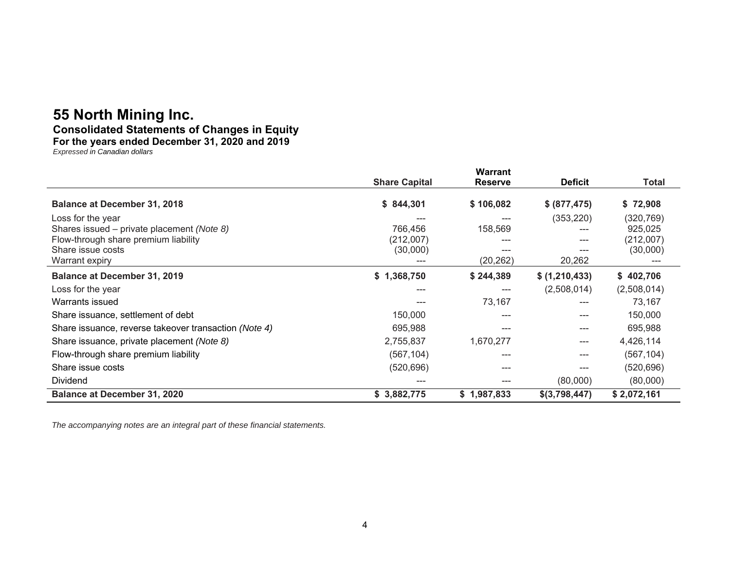# **55 North Mining Inc.**

### **Consolidated Statements of Changes in Equity For the years ended December 31, 2020 and 2019**

*Expressed in Canadian dollars* 

|                                                       |                      | <b>Warrant</b> |                |             |
|-------------------------------------------------------|----------------------|----------------|----------------|-------------|
|                                                       | <b>Share Capital</b> | <b>Reserve</b> | <b>Deficit</b> | Total       |
| <b>Balance at December 31, 2018</b>                   | \$844,301            | \$106,082      | \$ (877, 475)  | \$72,908    |
| Loss for the year                                     |                      |                | (353, 220)     | (320,769)   |
| Shares issued – private placement (Note 8)            | 766,456              | 158,569        | ---            | 925,025     |
| Flow-through share premium liability                  | (212,007)            |                |                | (212,007)   |
| Share issue costs                                     | (30,000)             |                |                | (30,000)    |
| Warrant expiry                                        |                      | (20, 262)      | 20,262         |             |
| <b>Balance at December 31, 2019</b>                   | \$1,368,750          | \$244,389      | \$ (1,210,433) | \$402,706   |
| Loss for the year                                     |                      |                | (2,508,014)    | (2,508,014) |
| Warrants issued                                       |                      | 73,167         | ---            | 73,167      |
| Share issuance, settlement of debt                    | 150,000              | ---            |                | 150,000     |
| Share issuance, reverse takeover transaction (Note 4) | 695,988              | ---            |                | 695,988     |
| Share issuance, private placement (Note 8)            | 2,755,837            | 1,670,277      | ---            | 4,426,114   |
| Flow-through share premium liability                  | (567, 104)           | ---            | ---            | (567, 104)  |
| Share issue costs                                     | (520, 696)           | ---            |                | (520, 696)  |
| Dividend                                              |                      | ---            | (80,000)       | (80,000)    |
| <b>Balance at December 31, 2020</b>                   | \$3,882,775          | \$1,987,833    | \$(3,798,447)  | \$2,072,161 |

*The accompanying notes are an integral part of these financial statements.*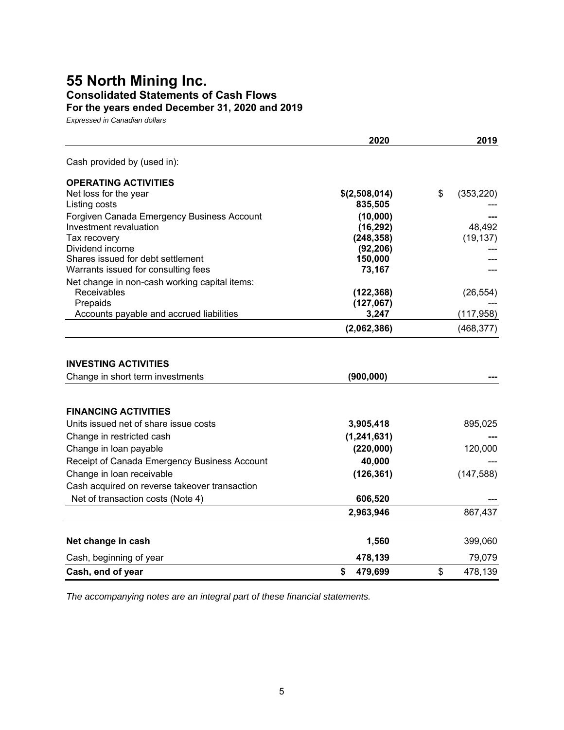### **55 North Mining Inc. Consolidated Statements of Cash Flows For the years ended December 31, 2020 and 2019**

*Expressed in Canadian dollars* 

|                                               | 2020                    | 2019             |
|-----------------------------------------------|-------------------------|------------------|
| Cash provided by (used in):                   |                         |                  |
| <b>OPERATING ACTIVITIES</b>                   |                         |                  |
| Net loss for the year                         | \$(2,508,014)           | (353, 220)<br>\$ |
| Listing costs                                 | 835,505                 |                  |
| Forgiven Canada Emergency Business Account    | (10,000)                |                  |
| Investment revaluation                        | (16, 292)               | 48,492           |
| Tax recovery<br>Dividend income               | (248, 358)<br>(92, 206) | (19, 137)        |
| Shares issued for debt settlement             | 150,000                 |                  |
| Warrants issued for consulting fees           | 73,167                  |                  |
| Net change in non-cash working capital items: |                         |                  |
| Receivables                                   | (122, 368)              | (26, 554)        |
| Prepaids                                      | (127, 067)              |                  |
| Accounts payable and accrued liabilities      | 3,247                   | (117, 958)       |
|                                               | (2,062,386)             | (468, 377)       |
|                                               |                         |                  |
| <b>INVESTING ACTIVITIES</b>                   |                         |                  |
| Change in short term investments              | (900, 000)              |                  |
| <b>FINANCING ACTIVITIES</b>                   |                         |                  |
| Units issued net of share issue costs         | 3,905,418               | 895,025          |
| Change in restricted cash                     | (1, 241, 631)           |                  |
| Change in loan payable                        | (220,000)               | 120,000          |
| Receipt of Canada Emergency Business Account  | 40,000                  |                  |
| Change in loan receivable                     | (126, 361)              | (147, 588)       |
| Cash acquired on reverse takeover transaction |                         |                  |
| Net of transaction costs (Note 4)             | 606,520                 |                  |
|                                               | 2,963,946               | 867,437          |
|                                               |                         |                  |
| Net change in cash                            | 1,560                   | 399,060          |
| Cash, beginning of year                       | 478,139                 | 79,079           |
| Cash, end of year                             | \$<br>479,699           | \$<br>478,139    |

*The accompanying notes are an integral part of these financial statements.*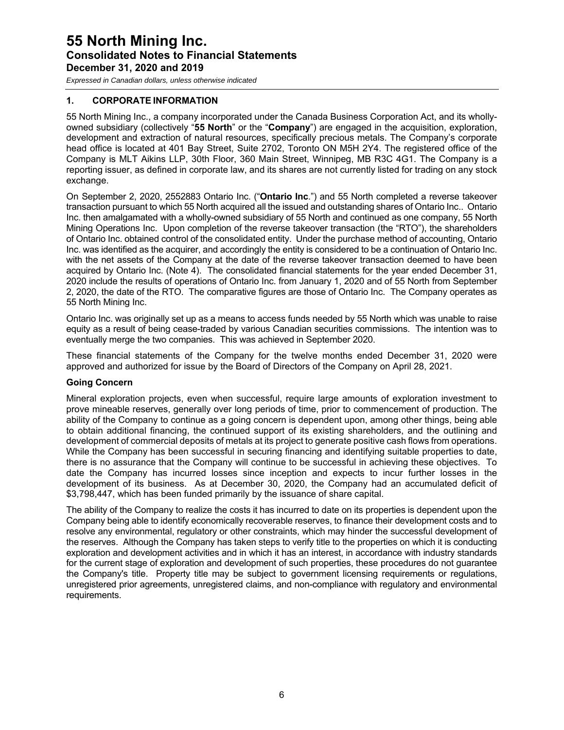*Expressed in Canadian dollars, unless otherwise indicated*

#### **1. CORPORATE INFORMATION**

55 North Mining Inc., a company incorporated under the Canada Business Corporation Act, and its whollyowned subsidiary (collectively "**55 North**" or the "**Company**") are engaged in the acquisition, exploration, development and extraction of natural resources, specifically precious metals. The Company's corporate head office is located at 401 Bay Street, Suite 2702, Toronto ON M5H 2Y4. The registered office of the Company is MLT Aikins LLP, 30th Floor, 360 Main Street, Winnipeg, MB R3C 4G1. The Company is a reporting issuer, as defined in corporate law, and its shares are not currently listed for trading on any stock exchange.

On September 2, 2020, 2552883 Ontario Inc. ("**Ontario Inc**.") and 55 North completed a reverse takeover transaction pursuant to which 55 North acquired all the issued and outstanding shares of Ontario Inc.. Ontario Inc. then amalgamated with a wholly-owned subsidiary of 55 North and continued as one company, 55 North Mining Operations Inc. Upon completion of the reverse takeover transaction (the "RTO"), the shareholders of Ontario Inc. obtained control of the consolidated entity. Under the purchase method of accounting, Ontario Inc. was identified as the acquirer, and accordingly the entity is considered to be a continuation of Ontario Inc. with the net assets of the Company at the date of the reverse takeover transaction deemed to have been acquired by Ontario Inc. (Note 4). The consolidated financial statements for the year ended December 31, 2020 include the results of operations of Ontario Inc. from January 1, 2020 and of 55 North from September 2, 2020, the date of the RTO. The comparative figures are those of Ontario Inc. The Company operates as 55 North Mining Inc.

Ontario Inc. was originally set up as a means to access funds needed by 55 North which was unable to raise equity as a result of being cease-traded by various Canadian securities commissions. The intention was to eventually merge the two companies. This was achieved in September 2020.

These financial statements of the Company for the twelve months ended December 31, 2020 were approved and authorized for issue by the Board of Directors of the Company on April 28, 2021.

#### **Going Concern**

Mineral exploration projects, even when successful, require large amounts of exploration investment to prove mineable reserves, generally over long periods of time, prior to commencement of production. The ability of the Company to continue as a going concern is dependent upon, among other things, being able to obtain additional financing, the continued support of its existing shareholders, and the outlining and development of commercial deposits of metals at its project to generate positive cash flows from operations. While the Company has been successful in securing financing and identifying suitable properties to date, there is no assurance that the Company will continue to be successful in achieving these objectives. To date the Company has incurred losses since inception and expects to incur further losses in the development of its business. As at December 30, 2020, the Company had an accumulated deficit of \$3,798,447, which has been funded primarily by the issuance of share capital.

The ability of the Company to realize the costs it has incurred to date on its properties is dependent upon the Company being able to identify economically recoverable reserves, to finance their development costs and to resolve any environmental, regulatory or other constraints, which may hinder the successful development of the reserves. Although the Company has taken steps to verify title to the properties on which it is conducting exploration and development activities and in which it has an interest, in accordance with industry standards for the current stage of exploration and development of such properties, these procedures do not guarantee the Company's title. Property title may be subject to government licensing requirements or regulations, unregistered prior agreements, unregistered claims, and non-compliance with regulatory and environmental requirements.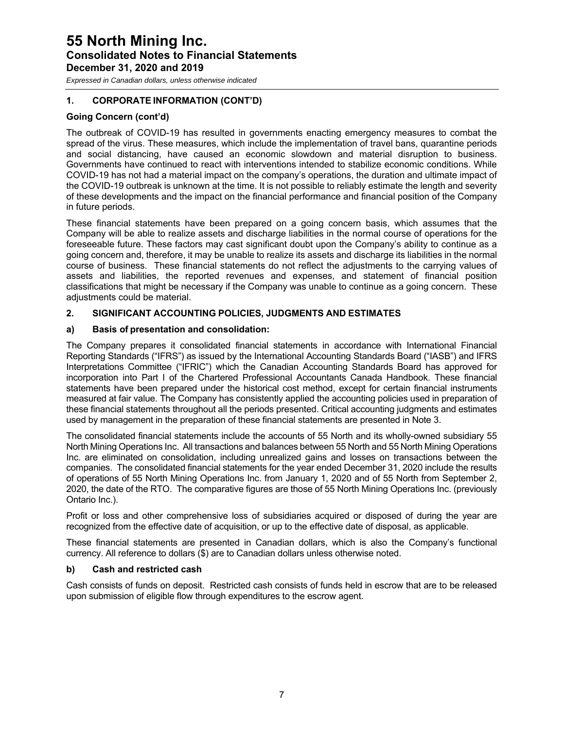*Expressed in Canadian dollars, unless otherwise indicated*

#### **1. CORPORATE INFORMATION (CONT'D)**

#### **Going Concern (cont'd)**

The outbreak of COVID-19 has resulted in governments enacting emergency measures to combat the spread of the virus. These measures, which include the implementation of travel bans, quarantine periods and social distancing, have caused an economic slowdown and material disruption to business. Governments have continued to react with interventions intended to stabilize economic conditions. While COVID-19 has not had a material impact on the company's operations, the duration and ultimate impact of the COVID-19 outbreak is unknown at the time. It is not possible to reliably estimate the length and severity of these developments and the impact on the financial performance and financial position of the Company in future periods.

These financial statements have been prepared on a going concern basis, which assumes that the Company will be able to realize assets and discharge liabilities in the normal course of operations for the foreseeable future. These factors may cast significant doubt upon the Company's ability to continue as a going concern and, therefore, it may be unable to realize its assets and discharge its liabilities in the normal course of business. These financial statements do not reflect the adjustments to the carrying values of assets and liabilities, the reported revenues and expenses, and statement of financial position classifications that might be necessary if the Company was unable to continue as a going concern. These adjustments could be material.

#### **2. SIGNIFICANT ACCOUNTING POLICIES, JUDGMENTS AND ESTIMATES**

#### **a) Basis of presentation and consolidation:**

The Company prepares it consolidated financial statements in accordance with International Financial Reporting Standards ("IFRS") as issued by the International Accounting Standards Board ("IASB") and IFRS Interpretations Committee ("IFRIC") which the Canadian Accounting Standards Board has approved for incorporation into Part I of the Chartered Professional Accountants Canada Handbook. These financial statements have been prepared under the historical cost method, except for certain financial instruments measured at fair value. The Company has consistently applied the accounting policies used in preparation of these financial statements throughout all the periods presented. Critical accounting judgments and estimates used by management in the preparation of these financial statements are presented in Note 3.

The consolidated financial statements include the accounts of 55 North and its wholly-owned subsidiary 55 North Mining Operations Inc. All transactions and balances between 55 North and 55 North Mining Operations Inc. are eliminated on consolidation, including unrealized gains and losses on transactions between the companies. The consolidated financial statements for the year ended December 31, 2020 include the results of operations of 55 North Mining Operations Inc. from January 1, 2020 and of 55 North from September 2, 2020, the date of the RTO. The comparative figures are those of 55 North Mining Operations Inc. (previously Ontario Inc.).

Profit or loss and other comprehensive loss of subsidiaries acquired or disposed of during the year are recognized from the effective date of acquisition, or up to the effective date of disposal, as applicable.

These financial statements are presented in Canadian dollars, which is also the Company's functional currency. All reference to dollars (\$) are to Canadian dollars unless otherwise noted.

#### **b) Cash and restricted cash**

Cash consists of funds on deposit. Restricted cash consists of funds held in escrow that are to be released upon submission of eligible flow through expenditures to the escrow agent.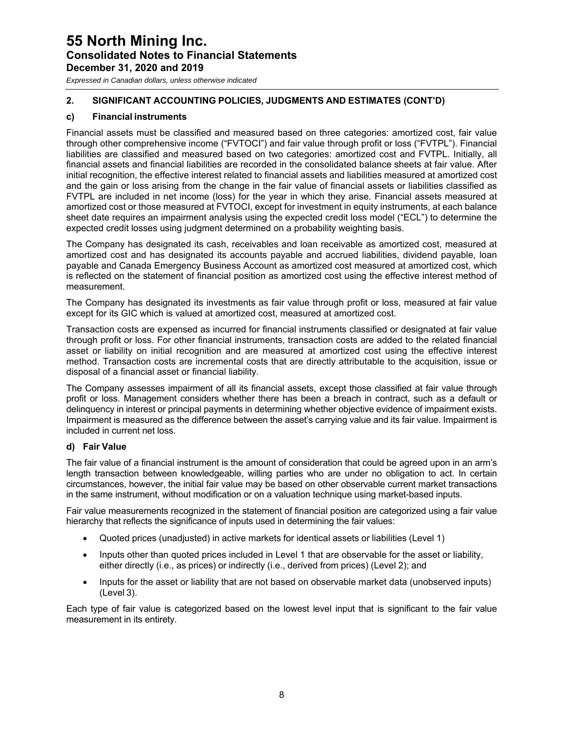*Expressed in Canadian dollars, unless otherwise indicated*

#### **2. SIGNIFICANT ACCOUNTING POLICIES, JUDGMENTS AND ESTIMATES (CONT'D)**

#### **c) Financial instruments**

Financial assets must be classified and measured based on three categories: amortized cost, fair value through other comprehensive income ("FVTOCI") and fair value through profit or loss ("FVTPL"). Financial liabilities are classified and measured based on two categories: amortized cost and FVTPL. Initially, all financial assets and financial liabilities are recorded in the consolidated balance sheets at fair value. After initial recognition, the effective interest related to financial assets and liabilities measured at amortized cost and the gain or loss arising from the change in the fair value of financial assets or liabilities classified as FVTPL are included in net income (loss) for the year in which they arise. Financial assets measured at amortized cost or those measured at FVTOCI, except for investment in equity instruments, at each balance sheet date requires an impairment analysis using the expected credit loss model ("ECL") to determine the expected credit losses using judgment determined on a probability weighting basis.

The Company has designated its cash, receivables and loan receivable as amortized cost, measured at amortized cost and has designated its accounts payable and accrued liabilities, dividend payable, loan payable and Canada Emergency Business Account as amortized cost measured at amortized cost, which is reflected on the statement of financial position as amortized cost using the effective interest method of measurement.

The Company has designated its investments as fair value through profit or loss, measured at fair value except for its GIC which is valued at amortized cost, measured at amortized cost.

Transaction costs are expensed as incurred for financial instruments classified or designated at fair value through profit or loss. For other financial instruments, transaction costs are added to the related financial asset or liability on initial recognition and are measured at amortized cost using the effective interest method. Transaction costs are incremental costs that are directly attributable to the acquisition, issue or disposal of a financial asset or financial liability.

The Company assesses impairment of all its financial assets, except those classified at fair value through profit or loss. Management considers whether there has been a breach in contract, such as a default or delinquency in interest or principal payments in determining whether objective evidence of impairment exists. Impairment is measured as the difference between the asset's carrying value and its fair value. Impairment is included in current net loss.

#### **d) Fair Value**

The fair value of a financial instrument is the amount of consideration that could be agreed upon in an arm's length transaction between knowledgeable, willing parties who are under no obligation to act. In certain circumstances, however, the initial fair value may be based on other observable current market transactions in the same instrument, without modification or on a valuation technique using market-based inputs.

Fair value measurements recognized in the statement of financial position are categorized using a fair value hierarchy that reflects the significance of inputs used in determining the fair values:

- Quoted prices (unadjusted) in active markets for identical assets or liabilities (Level 1)
- Inputs other than quoted prices included in Level 1 that are observable for the asset or liability, either directly (i.e., as prices) or indirectly (i.e., derived from prices) (Level 2); and
- Inputs for the asset or liability that are not based on observable market data (unobserved inputs) (Level 3).

Each type of fair value is categorized based on the lowest level input that is significant to the fair value measurement in its entirety.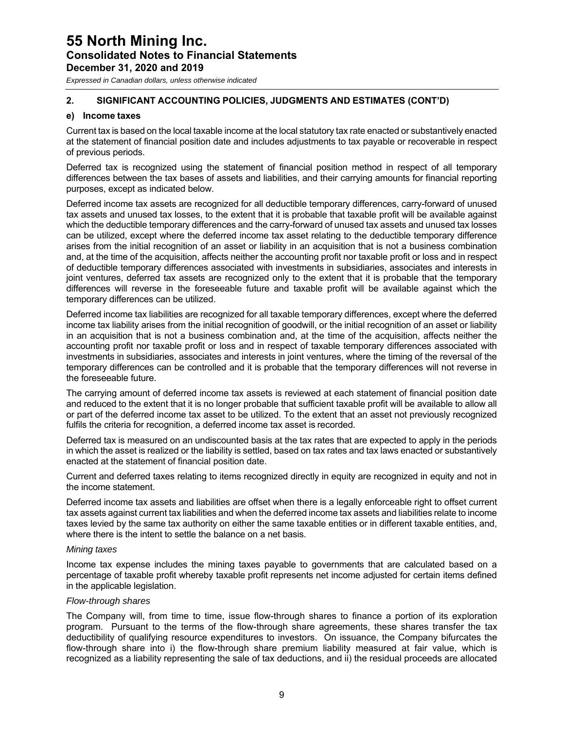*Expressed in Canadian dollars, unless otherwise indicated*

#### **2. SIGNIFICANT ACCOUNTING POLICIES, JUDGMENTS AND ESTIMATES (CONT'D)**

#### **e) Income taxes**

Current tax is based on the local taxable income at the local statutory tax rate enacted or substantively enacted at the statement of financial position date and includes adjustments to tax payable or recoverable in respect of previous periods.

Deferred tax is recognized using the statement of financial position method in respect of all temporary differences between the tax bases of assets and liabilities, and their carrying amounts for financial reporting purposes, except as indicated below.

Deferred income tax assets are recognized for all deductible temporary differences, carry-forward of unused tax assets and unused tax losses, to the extent that it is probable that taxable profit will be available against which the deductible temporary differences and the carry-forward of unused tax assets and unused tax losses can be utilized, except where the deferred income tax asset relating to the deductible temporary difference arises from the initial recognition of an asset or liability in an acquisition that is not a business combination and, at the time of the acquisition, affects neither the accounting profit nor taxable profit or loss and in respect of deductible temporary differences associated with investments in subsidiaries, associates and interests in joint ventures, deferred tax assets are recognized only to the extent that it is probable that the temporary differences will reverse in the foreseeable future and taxable profit will be available against which the temporary differences can be utilized.

Deferred income tax liabilities are recognized for all taxable temporary differences, except where the deferred income tax liability arises from the initial recognition of goodwill, or the initial recognition of an asset or liability in an acquisition that is not a business combination and, at the time of the acquisition, affects neither the accounting profit nor taxable profit or loss and in respect of taxable temporary differences associated with investments in subsidiaries, associates and interests in joint ventures, where the timing of the reversal of the temporary differences can be controlled and it is probable that the temporary differences will not reverse in the foreseeable future.

The carrying amount of deferred income tax assets is reviewed at each statement of financial position date and reduced to the extent that it is no longer probable that sufficient taxable profit will be available to allow all or part of the deferred income tax asset to be utilized. To the extent that an asset not previously recognized fulfils the criteria for recognition, a deferred income tax asset is recorded.

Deferred tax is measured on an undiscounted basis at the tax rates that are expected to apply in the periods in which the asset is realized or the liability is settled, based on tax rates and tax laws enacted or substantively enacted at the statement of financial position date.

Current and deferred taxes relating to items recognized directly in equity are recognized in equity and not in the income statement.

Deferred income tax assets and liabilities are offset when there is a legally enforceable right to offset current tax assets against current tax liabilities and when the deferred income tax assets and liabilities relate to income taxes levied by the same tax authority on either the same taxable entities or in different taxable entities, and, where there is the intent to settle the balance on a net basis.

#### *Mining taxes*

Income tax expense includes the mining taxes payable to governments that are calculated based on a percentage of taxable profit whereby taxable profit represents net income adjusted for certain items defined in the applicable legislation.

#### *Flow-through shares*

The Company will, from time to time, issue flow-through shares to finance a portion of its exploration program. Pursuant to the terms of the flow-through share agreements, these shares transfer the tax deductibility of qualifying resource expenditures to investors. On issuance, the Company bifurcates the flow-through share into i) the flow-through share premium liability measured at fair value, which is recognized as a liability representing the sale of tax deductions, and ii) the residual proceeds are allocated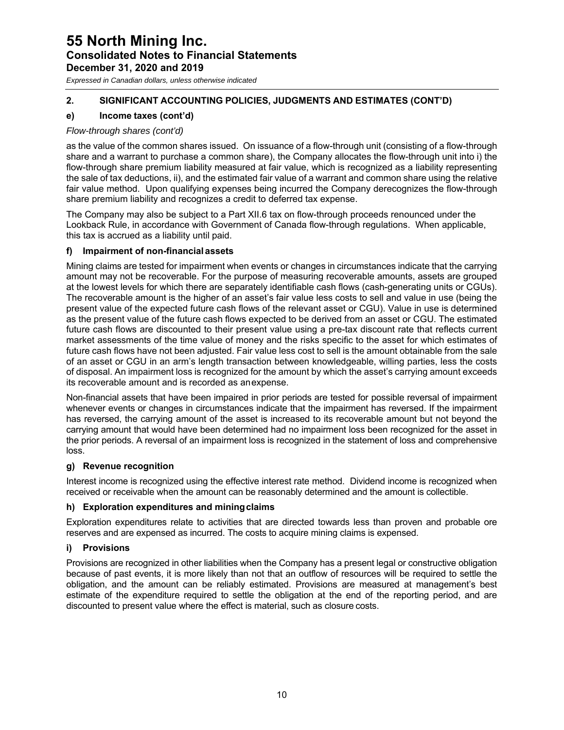*Expressed in Canadian dollars, unless otherwise indicated*

### **2. SIGNIFICANT ACCOUNTING POLICIES, JUDGMENTS AND ESTIMATES (CONT'D)**

#### **e) Income taxes (cont'd)**

#### *Flow-through shares (cont'd)*

as the value of the common shares issued. On issuance of a flow-through unit (consisting of a flow-through share and a warrant to purchase a common share), the Company allocates the flow-through unit into i) the flow-through share premium liability measured at fair value, which is recognized as a liability representing the sale of tax deductions, ii), and the estimated fair value of a warrant and common share using the relative fair value method. Upon qualifying expenses being incurred the Company derecognizes the flow-through share premium liability and recognizes a credit to deferred tax expense.

The Company may also be subject to a Part XII.6 tax on flow-through proceeds renounced under the Lookback Rule, in accordance with Government of Canada flow-through regulations. When applicable, this tax is accrued as a liability until paid.

#### **f) Impairment of non-financial assets**

Mining claims are tested for impairment when events or changes in circumstances indicate that the carrying amount may not be recoverable. For the purpose of measuring recoverable amounts, assets are grouped at the lowest levels for which there are separately identifiable cash flows (cash-generating units or CGUs). The recoverable amount is the higher of an asset's fair value less costs to sell and value in use (being the present value of the expected future cash flows of the relevant asset or CGU). Value in use is determined as the present value of the future cash flows expected to be derived from an asset or CGU. The estimated future cash flows are discounted to their present value using a pre-tax discount rate that reflects current market assessments of the time value of money and the risks specific to the asset for which estimates of future cash flows have not been adjusted. Fair value less cost to sell is the amount obtainable from the sale of an asset or CGU in an arm's length transaction between knowledgeable, willing parties, less the costs of disposal. An impairment loss is recognized for the amount by which the asset's carrying amount exceeds its recoverable amount and is recorded as an expense.

Non-financial assets that have been impaired in prior periods are tested for possible reversal of impairment whenever events or changes in circumstances indicate that the impairment has reversed. If the impairment has reversed, the carrying amount of the asset is increased to its recoverable amount but not beyond the carrying amount that would have been determined had no impairment loss been recognized for the asset in the prior periods. A reversal of an impairment loss is recognized in the statement of loss and comprehensive loss.

#### **g) Revenue recognition**

Interest income is recognized using the effective interest rate method. Dividend income is recognized when received or receivable when the amount can be reasonably determined and the amount is collectible.

#### **h) Exploration expenditures and mining claims**

Exploration expenditures relate to activities that are directed towards less than proven and probable ore reserves and are expensed as incurred. The costs to acquire mining claims is expensed.

#### **i) Provisions**

Provisions are recognized in other liabilities when the Company has a present legal or constructive obligation because of past events, it is more likely than not that an outflow of resources will be required to settle the obligation, and the amount can be reliably estimated. Provisions are measured at management's best estimate of the expenditure required to settle the obligation at the end of the reporting period, and are discounted to present value where the effect is material, such as closure costs.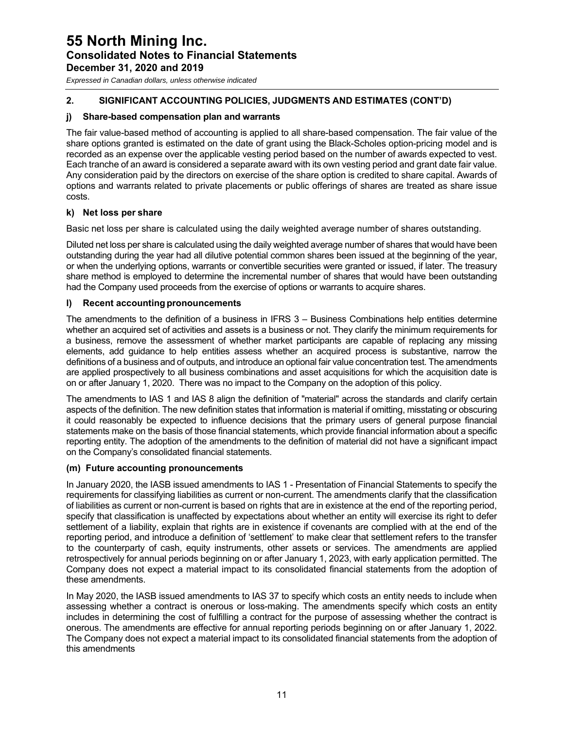*Expressed in Canadian dollars, unless otherwise indicated*

#### **2. SIGNIFICANT ACCOUNTING POLICIES, JUDGMENTS AND ESTIMATES (CONT'D)**

#### **j) Share-based compensation plan and warrants**

The fair value-based method of accounting is applied to all share-based compensation. The fair value of the share options granted is estimated on the date of grant using the Black-Scholes option-pricing model and is recorded as an expense over the applicable vesting period based on the number of awards expected to vest. Each tranche of an award is considered a separate award with its own vesting period and grant date fair value. Any consideration paid by the directors on exercise of the share option is credited to share capital. Awards of options and warrants related to private placements or public offerings of shares are treated as share issue costs.

#### **k) Net loss per share**

Basic net loss per share is calculated using the daily weighted average number of shares outstanding.

Diluted net loss per share is calculated using the daily weighted average number of shares that would have been outstanding during the year had all dilutive potential common shares been issued at the beginning of the year, or when the underlying options, warrants or convertible securities were granted or issued, if later. The treasury share method is employed to determine the incremental number of shares that would have been outstanding had the Company used proceeds from the exercise of options or warrants to acquire shares.

#### **l) Recent accounting pronouncements**

The amendments to the definition of a business in IFRS 3 – Business Combinations help entities determine whether an acquired set of activities and assets is a business or not. They clarify the minimum requirements for a business, remove the assessment of whether market participants are capable of replacing any missing elements, add guidance to help entities assess whether an acquired process is substantive, narrow the definitions of a business and of outputs, and introduce an optional fair value concentration test. The amendments are applied prospectively to all business combinations and asset acquisitions for which the acquisition date is on or after January 1, 2020. There was no impact to the Company on the adoption of this policy.

The amendments to IAS 1 and IAS 8 align the definition of "material" across the standards and clarify certain aspects of the definition. The new definition states that information is material if omitting, misstating or obscuring it could reasonably be expected to influence decisions that the primary users of general purpose financial statements make on the basis of those financial statements, which provide financial information about a specific reporting entity. The adoption of the amendments to the definition of material did not have a significant impact on the Company's consolidated financial statements.

#### **(m) Future accounting pronouncements**

In January 2020, the IASB issued amendments to IAS 1 - Presentation of Financial Statements to specify the requirements for classifying liabilities as current or non-current. The amendments clarify that the classification of liabilities as current or non-current is based on rights that are in existence at the end of the reporting period, specify that classification is unaffected by expectations about whether an entity will exercise its right to defer settlement of a liability, explain that rights are in existence if covenants are complied with at the end of the reporting period, and introduce a definition of 'settlement' to make clear that settlement refers to the transfer to the counterparty of cash, equity instruments, other assets or services. The amendments are applied retrospectively for annual periods beginning on or after January 1, 2023, with early application permitted. The Company does not expect a material impact to its consolidated financial statements from the adoption of these amendments.

In May 2020, the IASB issued amendments to IAS 37 to specify which costs an entity needs to include when assessing whether a contract is onerous or loss-making. The amendments specify which costs an entity includes in determining the cost of fulfilling a contract for the purpose of assessing whether the contract is onerous. The amendments are effective for annual reporting periods beginning on or after January 1, 2022. The Company does not expect a material impact to its consolidated financial statements from the adoption of this amendments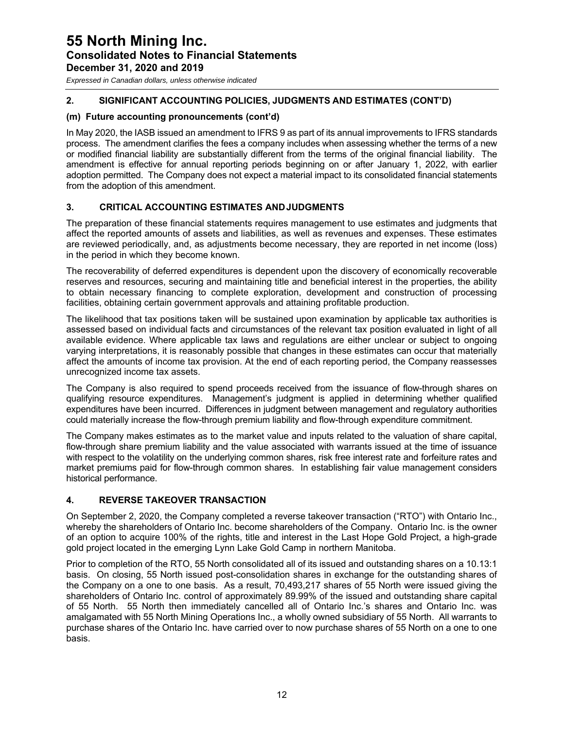*Expressed in Canadian dollars, unless otherwise indicated*

#### **2. SIGNIFICANT ACCOUNTING POLICIES, JUDGMENTS AND ESTIMATES (CONT'D)**

#### **(m) Future accounting pronouncements (cont'd)**

In May 2020, the IASB issued an amendment to IFRS 9 as part of its annual improvements to IFRS standards process. The amendment clarifies the fees a company includes when assessing whether the terms of a new or modified financial liability are substantially different from the terms of the original financial liability. The amendment is effective for annual reporting periods beginning on or after January 1, 2022, with earlier adoption permitted. The Company does not expect a material impact to its consolidated financial statements from the adoption of this amendment.

#### **3. CRITICAL ACCOUNTING ESTIMATES AND JUDGMENTS**

The preparation of these financial statements requires management to use estimates and judgments that affect the reported amounts of assets and liabilities, as well as revenues and expenses. These estimates are reviewed periodically, and, as adjustments become necessary, they are reported in net income (loss) in the period in which they become known.

The recoverability of deferred expenditures is dependent upon the discovery of economically recoverable reserves and resources, securing and maintaining title and beneficial interest in the properties, the ability to obtain necessary financing to complete exploration, development and construction of processing facilities, obtaining certain government approvals and attaining profitable production.

The likelihood that tax positions taken will be sustained upon examination by applicable tax authorities is assessed based on individual facts and circumstances of the relevant tax position evaluated in light of all available evidence. Where applicable tax laws and regulations are either unclear or subject to ongoing varying interpretations, it is reasonably possible that changes in these estimates can occur that materially affect the amounts of income tax provision. At the end of each reporting period, the Company reassesses unrecognized income tax assets.

The Company is also required to spend proceeds received from the issuance of flow-through shares on qualifying resource expenditures. Management's judgment is applied in determining whether qualified expenditures have been incurred. Differences in judgment between management and regulatory authorities could materially increase the flow-through premium liability and flow-through expenditure commitment.

The Company makes estimates as to the market value and inputs related to the valuation of share capital, flow-through share premium liability and the value associated with warrants issued at the time of issuance with respect to the volatility on the underlying common shares, risk free interest rate and forfeiture rates and market premiums paid for flow-through common shares. In establishing fair value management considers historical performance.

#### **4. REVERSE TAKEOVER TRANSACTION**

On September 2, 2020, the Company completed a reverse takeover transaction ("RTO") with Ontario Inc., whereby the shareholders of Ontario Inc. become shareholders of the Company. Ontario Inc. is the owner of an option to acquire 100% of the rights, title and interest in the Last Hope Gold Project, a high-grade gold project located in the emerging Lynn Lake Gold Camp in northern Manitoba.

Prior to completion of the RTO, 55 North consolidated all of its issued and outstanding shares on a 10.13:1 basis. On closing, 55 North issued post-consolidation shares in exchange for the outstanding shares of the Company on a one to one basis. As a result, 70,493,217 shares of 55 North were issued giving the shareholders of Ontario Inc. control of approximately 89.99% of the issued and outstanding share capital of 55 North. 55 North then immediately cancelled all of Ontario Inc.'s shares and Ontario Inc. was amalgamated with 55 North Mining Operations Inc., a wholly owned subsidiary of 55 North. All warrants to purchase shares of the Ontario Inc. have carried over to now purchase shares of 55 North on a one to one basis.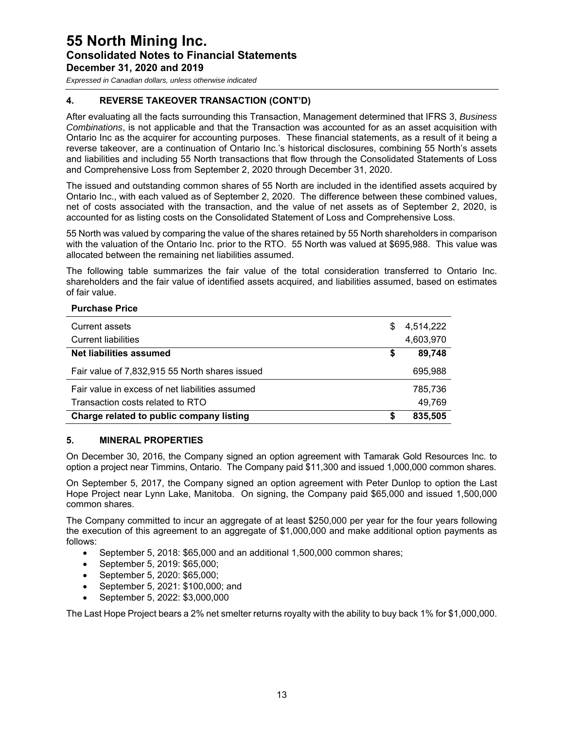*Expressed in Canadian dollars, unless otherwise indicated*

#### **4. REVERSE TAKEOVER TRANSACTION (CONT'D)**

After evaluating all the facts surrounding this Transaction, Management determined that IFRS 3, *Business Combinations*, is not applicable and that the Transaction was accounted for as an asset acquisition with Ontario Inc as the acquirer for accounting purposes. These financial statements, as a result of it being a reverse takeover, are a continuation of Ontario Inc.'s historical disclosures, combining 55 North's assets and liabilities and including 55 North transactions that flow through the Consolidated Statements of Loss and Comprehensive Loss from September 2, 2020 through December 31, 2020.

The issued and outstanding common shares of 55 North are included in the identified assets acquired by Ontario Inc., with each valued as of September 2, 2020. The difference between these combined values, net of costs associated with the transaction, and the value of net assets as of September 2, 2020, is accounted for as listing costs on the Consolidated Statement of Loss and Comprehensive Loss.

55 North was valued by comparing the value of the shares retained by 55 North shareholders in comparison with the valuation of the Ontario Inc. prior to the RTO. 55 North was valued at \$695,988. This value was allocated between the remaining net liabilities assumed.

The following table summarizes the fair value of the total consideration transferred to Ontario Inc. shareholders and the fair value of identified assets acquired, and liabilities assumed, based on estimates of fair value.

#### **Purchase Price**

| Current assets                                  | S  | 4,514,222 |
|-------------------------------------------------|----|-----------|
| <b>Current liabilities</b>                      |    | 4,603,970 |
| <b>Net liabilities assumed</b>                  | \$ | 89,748    |
| Fair value of 7,832,915 55 North shares issued  |    | 695,988   |
| Fair value in excess of net liabilities assumed |    | 785,736   |
| Transaction costs related to RTO                |    | 49,769    |
| Charge related to public company listing        | S  | 835,505   |

#### **5. MINERAL PROPERTIES**

On December 30, 2016, the Company signed an option agreement with Tamarak Gold Resources Inc. to option a project near Timmins, Ontario. The Company paid \$11,300 and issued 1,000,000 common shares.

On September 5, 2017, the Company signed an option agreement with Peter Dunlop to option the Last Hope Project near Lynn Lake, Manitoba. On signing, the Company paid \$65,000 and issued 1,500,000 common shares.

The Company committed to incur an aggregate of at least \$250,000 per year for the four years following the execution of this agreement to an aggregate of \$1,000,000 and make additional option payments as follows:

- September 5, 2018: \$65,000 and an additional 1,500,000 common shares;
- September 5, 2019: \$65,000;
- September 5, 2020: \$65,000;
- September 5, 2021: \$100,000; and
- September 5, 2022: \$3,000,000

The Last Hope Project bears a 2% net smelter returns royalty with the ability to buy back 1% for \$1,000,000.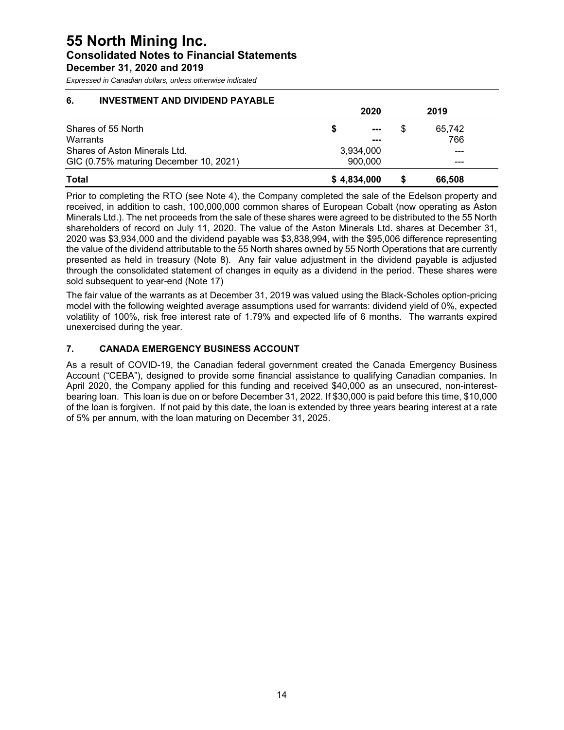*Expressed in Canadian dollars, unless otherwise indicated*

#### **6. INVESTMENT AND DIVIDEND PAYABLE**

| .                                      |              |        |  |
|----------------------------------------|--------------|--------|--|
|                                        | 2020         | 2019   |  |
| Shares of 55 North                     | S<br>$- - -$ | 65.742 |  |
| Warrants                               | ---          | 766    |  |
| Shares of Aston Minerals Ltd.          | 3,934,000    | ---    |  |
| GIC (0.75% maturing December 10, 2021) | 900.000      | ---    |  |
| <b>Total</b>                           | \$4,834,000  | 66,508 |  |

Prior to completing the RTO (see Note 4), the Company completed the sale of the Edelson property and received, in addition to cash, 100,000,000 common shares of European Cobalt (now operating as Aston Minerals Ltd.). The net proceeds from the sale of these shares were agreed to be distributed to the 55 North shareholders of record on July 11, 2020. The value of the Aston Minerals Ltd. shares at December 31, 2020 was \$3,934,000 and the dividend payable was \$3,838,994, with the \$95,006 difference representing the value of the dividend attributable to the 55 North shares owned by 55 North Operations that are currently presented as held in treasury (Note 8). Any fair value adjustment in the dividend payable is adjusted through the consolidated statement of changes in equity as a dividend in the period. These shares were sold subsequent to year-end (Note 17)

The fair value of the warrants as at December 31, 2019 was valued using the Black-Scholes option-pricing model with the following weighted average assumptions used for warrants: dividend yield of 0%, expected volatility of 100%, risk free interest rate of 1.79% and expected life of 6 months. The warrants expired unexercised during the year.

#### **7. CANADA EMERGENCY BUSINESS ACCOUNT**

As a result of COVID-19, the Canadian federal government created the Canada Emergency Business Account ("CEBA"), designed to provide some financial assistance to qualifying Canadian companies. In April 2020, the Company applied for this funding and received \$40,000 as an unsecured, non-interestbearing loan. This loan is due on or before December 31, 2022. If \$30,000 is paid before this time, \$10,000 of the loan is forgiven. If not paid by this date, the loan is extended by three years bearing interest at a rate of 5% per annum, with the loan maturing on December 31, 2025.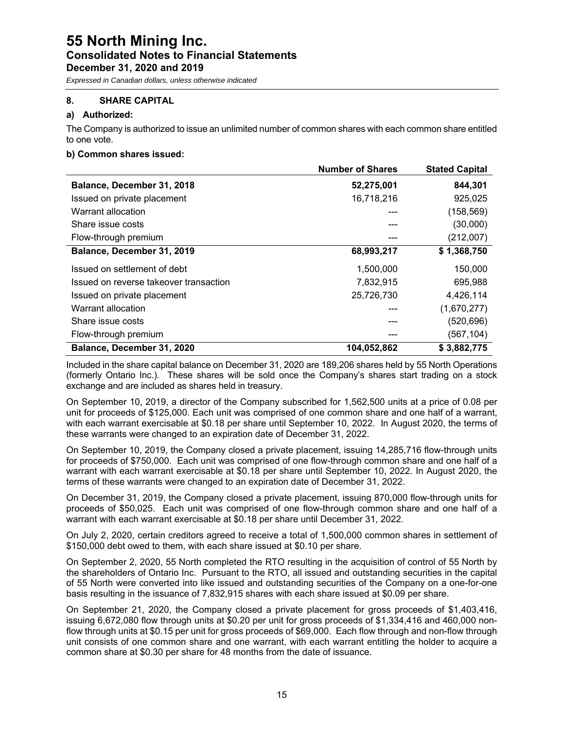*Expressed in Canadian dollars, unless otherwise indicated*

#### **8. SHARE CAPITAL**

#### **a) Authorized:**

The Company is authorized to issue an unlimited number of common shares with each common share entitled to one vote.

#### **b) Common shares issued:**

|                                        | <b>Number of Shares</b> | <b>Stated Capital</b> |
|----------------------------------------|-------------------------|-----------------------|
| Balance, December 31, 2018             | 52,275,001              | 844,301               |
| Issued on private placement            | 16,718,216              | 925,025               |
| Warrant allocation                     |                         | (158, 569)            |
| Share issue costs                      |                         | (30,000)              |
| Flow-through premium                   |                         | (212,007)             |
| Balance, December 31, 2019             | 68,993,217              | \$1,368,750           |
| Issued on settlement of debt           | 1,500,000               | 150,000               |
| Issued on reverse takeover transaction | 7,832,915               | 695,988               |
| Issued on private placement            | 25,726,730              | 4,426,114             |
| Warrant allocation                     |                         | (1,670,277)           |
| Share issue costs                      |                         | (520, 696)            |
| Flow-through premium                   |                         | (567, 104)            |
| Balance, December 31, 2020             | 104,052,862             | \$3,882,775           |

Included in the share capital balance on December 31, 2020 are 189,206 shares held by 55 North Operations (formerly Ontario Inc.). These shares will be sold once the Company's shares start trading on a stock exchange and are included as shares held in treasury.

On September 10, 2019, a director of the Company subscribed for 1,562,500 units at a price of 0.08 per unit for proceeds of \$125,000. Each unit was comprised of one common share and one half of a warrant, with each warrant exercisable at \$0.18 per share until September 10, 2022. In August 2020, the terms of these warrants were changed to an expiration date of December 31, 2022.

On September 10, 2019, the Company closed a private placement, issuing 14,285,716 flow-through units for proceeds of \$750,000. Each unit was comprised of one flow-through common share and one half of a warrant with each warrant exercisable at \$0.18 per share until September 10, 2022. In August 2020, the terms of these warrants were changed to an expiration date of December 31, 2022.

On December 31, 2019, the Company closed a private placement, issuing 870,000 flow-through units for proceeds of \$50,025. Each unit was comprised of one flow-through common share and one half of a warrant with each warrant exercisable at \$0.18 per share until December 31, 2022.

On July 2, 2020, certain creditors agreed to receive a total of 1,500,000 common shares in settlement of \$150,000 debt owed to them, with each share issued at \$0.10 per share.

On September 2, 2020, 55 North completed the RTO resulting in the acquisition of control of 55 North by the shareholders of Ontario Inc. Pursuant to the RTO, all issued and outstanding securities in the capital of 55 North were converted into like issued and outstanding securities of the Company on a one-for-one basis resulting in the issuance of 7,832,915 shares with each share issued at \$0.09 per share.

On September 21, 2020, the Company closed a private placement for gross proceeds of \$1,403,416, issuing 6,672,080 flow through units at \$0.20 per unit for gross proceeds of \$1,334,416 and 460,000 nonflow through units at \$0.15 per unit for gross proceeds of \$69,000. Each flow through and non-flow through unit consists of one common share and one warrant, with each warrant entitling the holder to acquire a common share at \$0.30 per share for 48 months from the date of issuance.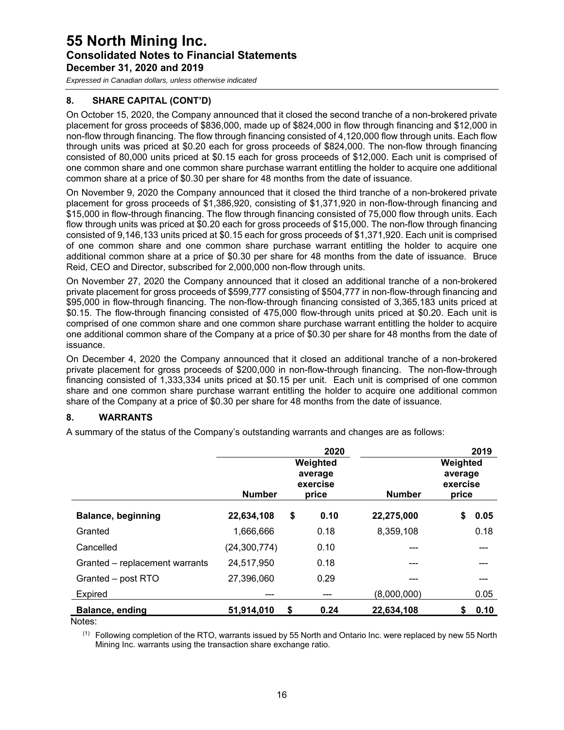*Expressed in Canadian dollars, unless otherwise indicated*

### **8. SHARE CAPITAL (CONT'D)**

On October 15, 2020, the Company announced that it closed the second tranche of a non-brokered private placement for gross proceeds of \$836,000, made up of \$824,000 in flow through financing and \$12,000 in non-flow through financing. The flow through financing consisted of 4,120,000 flow through units. Each flow through units was priced at \$0.20 each for gross proceeds of \$824,000. The non-flow through financing consisted of 80,000 units priced at \$0.15 each for gross proceeds of \$12,000. Each unit is comprised of one common share and one common share purchase warrant entitling the holder to acquire one additional common share at a price of \$0.30 per share for 48 months from the date of issuance.

On November 9, 2020 the Company announced that it closed the third tranche of a non-brokered private placement for gross proceeds of \$1,386,920, consisting of \$1,371,920 in non-flow-through financing and \$15,000 in flow-through financing. The flow through financing consisted of 75,000 flow through units. Each flow through units was priced at \$0.20 each for gross proceeds of \$15,000. The non-flow through financing consisted of 9,146,133 units priced at \$0.15 each for gross proceeds of \$1,371,920. Each unit is comprised of one common share and one common share purchase warrant entitling the holder to acquire one additional common share at a price of \$0.30 per share for 48 months from the date of issuance. Bruce Reid, CEO and Director, subscribed for 2,000,000 non-flow through units.

On November 27, 2020 the Company announced that it closed an additional tranche of a non-brokered private placement for gross proceeds of \$599,777 consisting of \$504,777 in non-flow-through financing and \$95,000 in flow-through financing. The non-flow-through financing consisted of 3,365,183 units priced at \$0.15. The flow-through financing consisted of 475,000 flow-through units priced at \$0.20. Each unit is comprised of one common share and one common share purchase warrant entitling the holder to acquire one additional common share of the Company at a price of \$0.30 per share for 48 months from the date of issuance.

On December 4, 2020 the Company announced that it closed an additional tranche of a non-brokered private placement for gross proceeds of \$200,000 in non-flow-through financing. The non-flow-through financing consisted of 1,333,334 units priced at \$0.15 per unit. Each unit is comprised of one common share and one common share purchase warrant entitling the holder to acquire one additional common share of the Company at a price of \$0.30 per share for 48 months from the date of issuance.

#### **8. WARRANTS**

A summary of the status of the Company's outstanding warrants and changes are as follows:

|                                |                | 2020                                     |               |                                          | 2019 |
|--------------------------------|----------------|------------------------------------------|---------------|------------------------------------------|------|
|                                | <b>Number</b>  | Weighted<br>average<br>exercise<br>price | <b>Number</b> | Weighted<br>average<br>exercise<br>price |      |
| Balance, beginning             | 22,634,108     | \$<br>0.10                               | 22,275,000    | \$                                       | 0.05 |
| Granted                        | 1,666,666      | 0.18                                     | 8,359,108     |                                          | 0.18 |
| Cancelled                      | (24, 300, 774) | 0.10                                     | ---           |                                          | ---  |
| Granted - replacement warrants | 24,517,950     | 0.18                                     |               |                                          |      |
| Granted - post RTO             | 27,396,060     | 0.29                                     | ---           |                                          | ---  |
| Expired                        | ---            | ---                                      | (8,000,000)   |                                          | 0.05 |
| <b>Balance, ending</b>         | 51,914,010     | \$<br>0.24                               | 22.634.108    | S                                        | 0.10 |

Notes:

(1) Following completion of the RTO, warrants issued by 55 North and Ontario Inc. were replaced by new 55 North Mining Inc. warrants using the transaction share exchange ratio.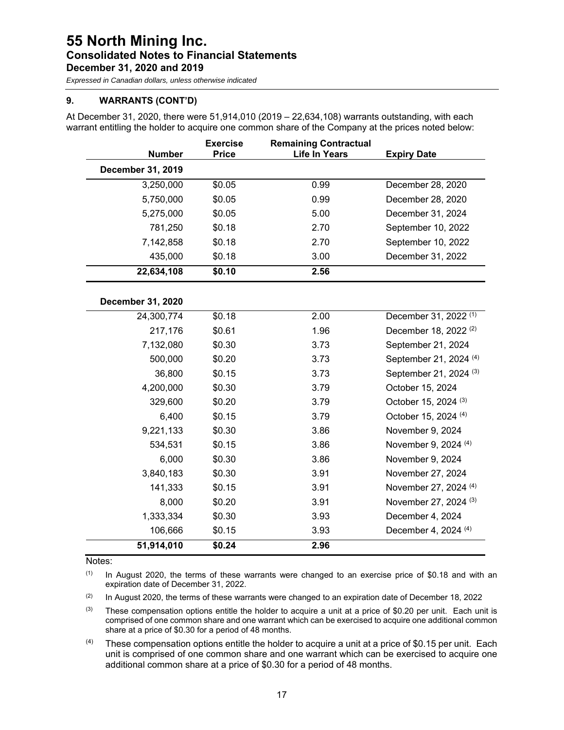*Expressed in Canadian dollars, unless otherwise indicated*

#### **9. WARRANTS (CONT'D)**

At December 31, 2020, there were 51,914,010 (2019 – 22,634,108) warrants outstanding, with each warrant entitling the holder to acquire one common share of the Company at the prices noted below:

| <b>Number</b>     | <b>Exercise</b><br><b>Price</b> | <b>Remaining Contractual</b><br><b>Life In Years</b> | <b>Expiry Date</b>                |
|-------------------|---------------------------------|------------------------------------------------------|-----------------------------------|
| December 31, 2019 |                                 |                                                      |                                   |
| 3,250,000         | \$0.05                          | 0.99                                                 | December 28, 2020                 |
| 5,750,000         | \$0.05                          | 0.99                                                 | December 28, 2020                 |
| 5,275,000         | \$0.05                          | 5.00                                                 | December 31, 2024                 |
| 781,250           | \$0.18                          | 2.70                                                 | September 10, 2022                |
| 7,142,858         | \$0.18                          | 2.70                                                 | September 10, 2022                |
| 435,000           | \$0.18                          | 3.00                                                 | December 31, 2022                 |
| 22,634,108        | \$0.10                          | 2.56                                                 |                                   |
| December 31, 2020 |                                 |                                                      |                                   |
| 24,300,774        | \$0.18                          | 2.00                                                 | December 31, 2022 <sup>(1)</sup>  |
| 217,176           | \$0.61                          | 1.96                                                 | December 18, 2022 <sup>(2)</sup>  |
| 7,132,080         | \$0.30                          | 3.73                                                 | September 21, 2024                |
| 500,000           | \$0.20                          | 3.73                                                 | September 21, 2024 (4)            |
| 36,800            | \$0.15                          | 3.73                                                 | September 21, 2024 <sup>(3)</sup> |
| 4,200,000         | \$0.30                          | 3.79                                                 | October 15, 2024                  |
| 329,600           | \$0.20                          | 3.79                                                 | October 15, 2024 <sup>(3)</sup>   |
| 6,400             | \$0.15                          | 3.79                                                 | October 15, 2024 <sup>(4)</sup>   |
| 9,221,133         | \$0.30                          | 3.86                                                 | November 9, 2024                  |
| 534,531           | \$0.15                          | 3.86                                                 | November 9, 2024 (4)              |
| 6,000             | \$0.30                          | 3.86                                                 | November 9, 2024                  |
| 3,840,183         | \$0.30                          | 3.91                                                 | November 27, 2024                 |
| 141,333           | \$0.15                          | 3.91                                                 | November 27, 2024 (4)             |
| 8,000             | \$0.20                          | 3.91                                                 | November 27, 2024 (3)             |
| 1,333,334         | \$0.30                          | 3.93                                                 | December 4, 2024                  |
| 106,666           | \$0.15                          | 3.93                                                 | December 4, 2024 (4)              |
| 51,914,010        | \$0.24                          | 2.96                                                 |                                   |

Notes:

(1) In August 2020, the terms of these warrants were changed to an exercise price of \$0.18 and with an expiration date of December 31, 2022.

 $(2)$  In August 2020, the terms of these warrants were changed to an expiration date of December 18, 2022

 $(3)$  These compensation options entitle the holder to acquire a unit at a price of \$0.20 per unit. Each unit is comprised of one common share and one warrant which can be exercised to acquire one additional common share at a price of \$0.30 for a period of 48 months.

 $(4)$  These compensation options entitle the holder to acquire a unit at a price of \$0.15 per unit. Each unit is comprised of one common share and one warrant which can be exercised to acquire one additional common share at a price of \$0.30 for a period of 48 months.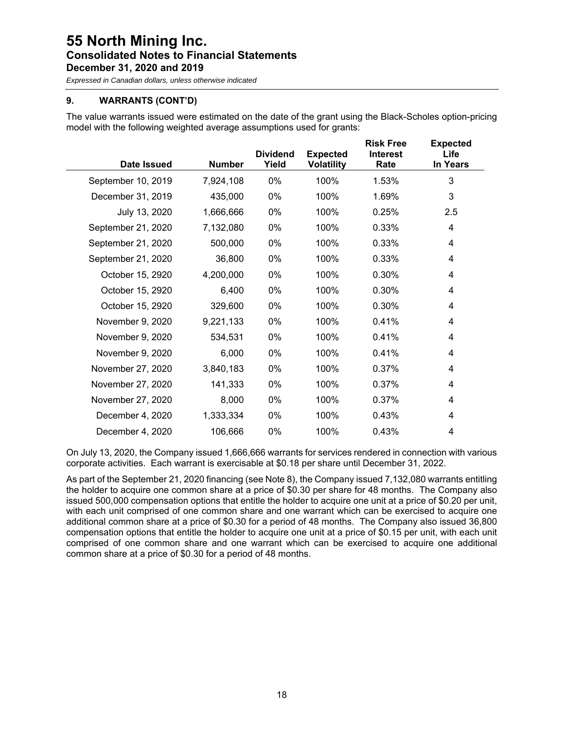*Expressed in Canadian dollars, unless otherwise indicated*

#### **9. WARRANTS (CONT'D)**

The value warrants issued were estimated on the date of the grant using the Black-Scholes option-pricing model with the following weighted average assumptions used for grants:

| <b>Number</b>                                                                                                                                                                                                                                                                                                                                                            | <b>Dividend</b><br>Yield | <b>Expected</b><br><b>Volatility</b> | <b>Risk Free</b><br><b>Interest</b><br>Rate | <b>Expected</b><br>Life<br>In Years |  |
|--------------------------------------------------------------------------------------------------------------------------------------------------------------------------------------------------------------------------------------------------------------------------------------------------------------------------------------------------------------------------|--------------------------|--------------------------------------|---------------------------------------------|-------------------------------------|--|
| 7,924,108                                                                                                                                                                                                                                                                                                                                                                | 0%                       | 100%                                 | 1.53%                                       | 3                                   |  |
| 435,000                                                                                                                                                                                                                                                                                                                                                                  | 0%                       | 100%                                 | 1.69%                                       | 3                                   |  |
| 1,666,666                                                                                                                                                                                                                                                                                                                                                                | 0%                       | 100%                                 | 0.25%                                       | 2.5                                 |  |
| 7,132,080                                                                                                                                                                                                                                                                                                                                                                | 0%                       | 100%                                 | 0.33%                                       | 4                                   |  |
| 500,000                                                                                                                                                                                                                                                                                                                                                                  | 0%                       | 100%                                 | 0.33%                                       | 4                                   |  |
| 36,800                                                                                                                                                                                                                                                                                                                                                                   | 0%                       | 100%                                 | 0.33%                                       | 4                                   |  |
| 4,200,000                                                                                                                                                                                                                                                                                                                                                                | 0%                       | 100%                                 | 0.30%                                       | 4                                   |  |
| 6,400                                                                                                                                                                                                                                                                                                                                                                    | 0%                       | 100%                                 | 0.30%                                       | 4                                   |  |
| 329,600                                                                                                                                                                                                                                                                                                                                                                  | 0%                       | 100%                                 | 0.30%                                       | 4                                   |  |
| 9,221,133                                                                                                                                                                                                                                                                                                                                                                | 0%                       | 100%                                 | 0.41%                                       | 4                                   |  |
| 534,531                                                                                                                                                                                                                                                                                                                                                                  | 0%                       | 100%                                 | 0.41%                                       | 4                                   |  |
| 6,000                                                                                                                                                                                                                                                                                                                                                                    | 0%                       | 100%                                 | 0.41%                                       | 4                                   |  |
| 3,840,183                                                                                                                                                                                                                                                                                                                                                                | 0%                       | 100%                                 | 0.37%                                       | 4                                   |  |
| 141,333                                                                                                                                                                                                                                                                                                                                                                  | 0%                       | 100%                                 | 0.37%                                       | 4                                   |  |
| 8,000                                                                                                                                                                                                                                                                                                                                                                    | 0%                       | 100%                                 | 0.37%                                       | 4                                   |  |
| 1,333,334                                                                                                                                                                                                                                                                                                                                                                | 0%                       | 100%                                 | 0.43%                                       | 4                                   |  |
| 106,666                                                                                                                                                                                                                                                                                                                                                                  | 0%                       | 100%                                 | 0.43%                                       | 4                                   |  |
| Date Issued<br>September 10, 2019<br>December 31, 2019<br>July 13, 2020<br>September 21, 2020<br>September 21, 2020<br>September 21, 2020<br>October 15, 2920<br>October 15, 2920<br>October 15, 2920<br>November 9, 2020<br>November 9, 2020<br>November 9, 2020<br>November 27, 2020<br>November 27, 2020<br>November 27, 2020<br>December 4, 2020<br>December 4, 2020 |                          |                                      |                                             |                                     |  |

On July 13, 2020, the Company issued 1,666,666 warrants for services rendered in connection with various corporate activities. Each warrant is exercisable at \$0.18 per share until December 31, 2022.

As part of the September 21, 2020 financing (see Note 8), the Company issued 7,132,080 warrants entitling the holder to acquire one common share at a price of \$0.30 per share for 48 months. The Company also issued 500,000 compensation options that entitle the holder to acquire one unit at a price of \$0.20 per unit, with each unit comprised of one common share and one warrant which can be exercised to acquire one additional common share at a price of \$0.30 for a period of 48 months. The Company also issued 36,800 compensation options that entitle the holder to acquire one unit at a price of \$0.15 per unit, with each unit comprised of one common share and one warrant which can be exercised to acquire one additional common share at a price of \$0.30 for a period of 48 months.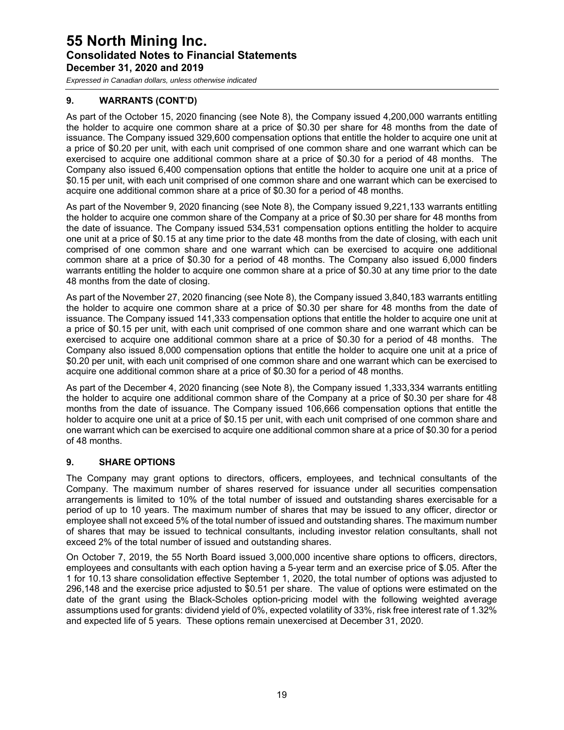*Expressed in Canadian dollars, unless otherwise indicated*

### **9. WARRANTS (CONT'D)**

As part of the October 15, 2020 financing (see Note 8), the Company issued 4,200,000 warrants entitling the holder to acquire one common share at a price of \$0.30 per share for 48 months from the date of issuance. The Company issued 329,600 compensation options that entitle the holder to acquire one unit at a price of \$0.20 per unit, with each unit comprised of one common share and one warrant which can be exercised to acquire one additional common share at a price of \$0.30 for a period of 48 months. The Company also issued 6,400 compensation options that entitle the holder to acquire one unit at a price of \$0.15 per unit, with each unit comprised of one common share and one warrant which can be exercised to acquire one additional common share at a price of \$0.30 for a period of 48 months.

As part of the November 9, 2020 financing (see Note 8), the Company issued 9,221,133 warrants entitling the holder to acquire one common share of the Company at a price of \$0.30 per share for 48 months from the date of issuance. The Company issued 534,531 compensation options entitling the holder to acquire one unit at a price of \$0.15 at any time prior to the date 48 months from the date of closing, with each unit comprised of one common share and one warrant which can be exercised to acquire one additional common share at a price of \$0.30 for a period of 48 months. The Company also issued 6,000 finders warrants entitling the holder to acquire one common share at a price of \$0.30 at any time prior to the date 48 months from the date of closing.

As part of the November 27, 2020 financing (see Note 8), the Company issued 3,840,183 warrants entitling the holder to acquire one common share at a price of \$0.30 per share for 48 months from the date of issuance. The Company issued 141,333 compensation options that entitle the holder to acquire one unit at a price of \$0.15 per unit, with each unit comprised of one common share and one warrant which can be exercised to acquire one additional common share at a price of \$0.30 for a period of 48 months. The Company also issued 8,000 compensation options that entitle the holder to acquire one unit at a price of \$0.20 per unit, with each unit comprised of one common share and one warrant which can be exercised to acquire one additional common share at a price of \$0.30 for a period of 48 months.

As part of the December 4, 2020 financing (see Note 8), the Company issued 1,333,334 warrants entitling the holder to acquire one additional common share of the Company at a price of \$0.30 per share for 48 months from the date of issuance. The Company issued 106,666 compensation options that entitle the holder to acquire one unit at a price of \$0.15 per unit, with each unit comprised of one common share and one warrant which can be exercised to acquire one additional common share at a price of \$0.30 for a period of 48 months.

#### **9. SHARE OPTIONS**

The Company may grant options to directors, officers, employees, and technical consultants of the Company. The maximum number of shares reserved for issuance under all securities compensation arrangements is limited to 10% of the total number of issued and outstanding shares exercisable for a period of up to 10 years. The maximum number of shares that may be issued to any officer, director or employee shall not exceed 5% of the total number of issued and outstanding shares. The maximum number of shares that may be issued to technical consultants, including investor relation consultants, shall not exceed 2% of the total number of issued and outstanding shares.

On October 7, 2019, the 55 North Board issued 3,000,000 incentive share options to officers, directors, employees and consultants with each option having a 5-year term and an exercise price of \$.05. After the 1 for 10.13 share consolidation effective September 1, 2020, the total number of options was adjusted to 296,148 and the exercise price adjusted to \$0.51 per share. The value of options were estimated on the date of the grant using the Black-Scholes option-pricing model with the following weighted average assumptions used for grants: dividend yield of 0%, expected volatility of 33%, risk free interest rate of 1.32% and expected life of 5 years. These options remain unexercised at December 31, 2020.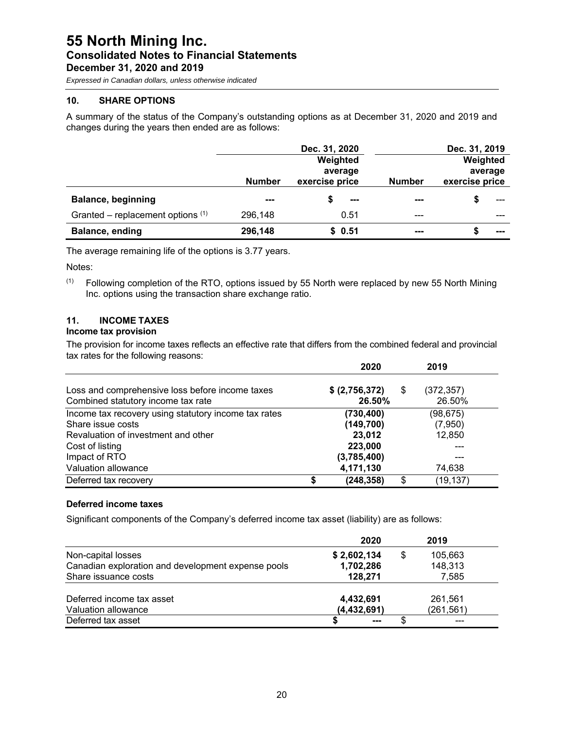*Expressed in Canadian dollars, unless otherwise indicated*

#### **10. SHARE OPTIONS**

A summary of the status of the Company's outstanding options as at December 31, 2020 and 2019 and changes during the years then ended are as follows:

|                                     |               | Dec. 31, 2020             |               | Dec. 31, 2019             |
|-------------------------------------|---------------|---------------------------|---------------|---------------------------|
|                                     |               | Weighted                  |               | Weighted                  |
|                                     | <b>Number</b> | average<br>exercise price | <b>Number</b> | average<br>exercise price |
| <b>Balance, beginning</b>           | $- - -$       | $\sim$ $\sim$             | $- - -$       |                           |
| Granted – replacement options $(1)$ | 296,148       | 0.51                      | ---           |                           |
| Balance, ending                     | 296,148       | \$0.51                    | ---           | ---                       |

The average remaining life of the options is 3.77 years.

Notes:

 $(1)$  Following completion of the RTO, options issued by 55 North were replaced by new 55 North Mining Inc. options using the transaction share exchange ratio.

### **11. INCOME TAXES**

#### **Income tax provision**

The provision for income taxes reflects an effective rate that differs from the combined federal and provincial tax rates for the following reasons:

|                                                                                       | 2020                     | 2019                       |  |
|---------------------------------------------------------------------------------------|--------------------------|----------------------------|--|
| Loss and comprehensive loss before income taxes<br>Combined statutory income tax rate | \$ (2,756,372)<br>26.50% | \$<br>(372, 357)<br>26.50% |  |
| Income tax recovery using statutory income tax rates                                  | (730, 400)               | (98, 675)                  |  |
| Share issue costs                                                                     | (149, 700)               | (7,950)                    |  |
| Revaluation of investment and other                                                   | 23,012                   | 12,850                     |  |
| Cost of listing                                                                       | 223,000                  |                            |  |
| Impact of RTO                                                                         | (3,785,400)              | ---                        |  |
| Valuation allowance                                                                   | 4,171,130                | 74,638                     |  |
| Deferred tax recovery                                                                 | (248, 358)               | \$<br>(19, 137)            |  |

#### **Deferred income taxes**

Significant components of the Company's deferred income tax asset (liability) are as follows:

|                                                    | 2020          | 2019          |  |
|----------------------------------------------------|---------------|---------------|--|
| Non-capital losses                                 | \$2,602,134   | \$<br>105,663 |  |
| Canadian exploration and development expense pools | 1,702,286     | 148,313       |  |
| Share issuance costs                               | 128,271       | 7.585         |  |
| Deferred income tax asset                          | 4,432,691     | 261,561       |  |
| Valuation allowance                                | (4, 432, 691) | (261,561)     |  |
| Deferred tax asset                                 | ---           |               |  |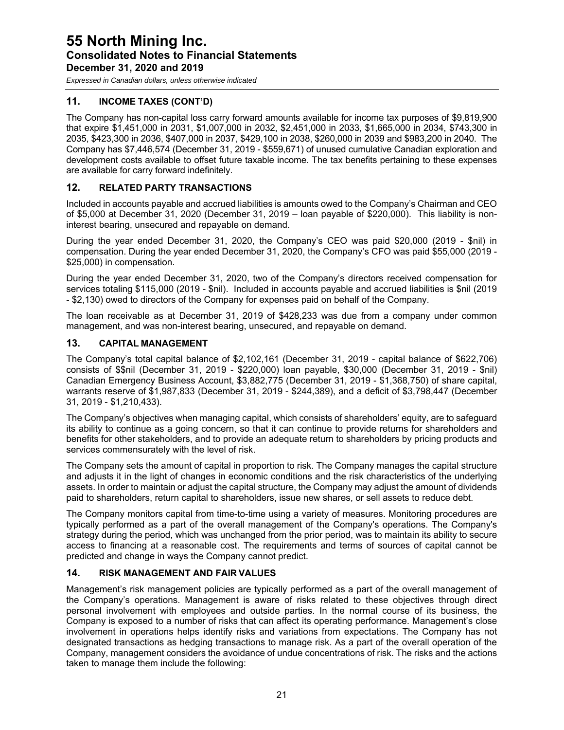*Expressed in Canadian dollars, unless otherwise indicated*

### **11. INCOME TAXES (CONT'D)**

The Company has non-capital loss carry forward amounts available for income tax purposes of \$9,819,900 that expire \$1,451,000 in 2031, \$1,007,000 in 2032, \$2,451,000 in 2033, \$1,665,000 in 2034, \$743,300 in 2035, \$423,300 in 2036, \$407,000 in 2037, \$429,100 in 2038, \$260,000 in 2039 and \$983,200 in 2040. The Company has \$7,446,574 (December 31, 2019 - \$559,671) of unused cumulative Canadian exploration and development costs available to offset future taxable income. The tax benefits pertaining to these expenses are available for carry forward indefinitely.

#### **12. RELATED PARTY TRANSACTIONS**

Included in accounts payable and accrued liabilities is amounts owed to the Company's Chairman and CEO of \$5,000 at December 31, 2020 (December 31, 2019 – loan payable of \$220,000). This liability is noninterest bearing, unsecured and repayable on demand.

During the year ended December 31, 2020, the Company's CEO was paid \$20,000 (2019 - \$nil) in compensation. During the year ended December 31, 2020, the Company's CFO was paid \$55,000 (2019 - \$25,000) in compensation.

During the year ended December 31, 2020, two of the Company's directors received compensation for services totaling \$115,000 (2019 - \$nil). Included in accounts payable and accrued liabilities is \$nil (2019 - \$2,130) owed to directors of the Company for expenses paid on behalf of the Company.

The loan receivable as at December 31, 2019 of \$428,233 was due from a company under common management, and was non-interest bearing, unsecured, and repayable on demand.

#### **13. CAPITAL MANAGEMENT**

The Company's total capital balance of \$2,102,161 (December 31, 2019 - capital balance of \$622,706) consists of \$\$nil (December 31, 2019 - \$220,000) loan payable, \$30,000 (December 31, 2019 - \$nil) Canadian Emergency Business Account, \$3,882,775 (December 31, 2019 - \$1,368,750) of share capital, warrants reserve of \$1,987,833 (December 31, 2019 - \$244,389), and a deficit of \$3,798,447 (December 31, 2019 - \$1,210,433).

The Company's objectives when managing capital, which consists of shareholders' equity, are to safeguard its ability to continue as a going concern, so that it can continue to provide returns for shareholders and benefits for other stakeholders, and to provide an adequate return to shareholders by pricing products and services commensurately with the level of risk.

The Company sets the amount of capital in proportion to risk. The Company manages the capital structure and adjusts it in the light of changes in economic conditions and the risk characteristics of the underlying assets. In order to maintain or adjust the capital structure, the Company may adjust the amount of dividends paid to shareholders, return capital to shareholders, issue new shares, or sell assets to reduce debt.

The Company monitors capital from time-to-time using a variety of measures. Monitoring procedures are typically performed as a part of the overall management of the Company's operations. The Company's strategy during the period, which was unchanged from the prior period, was to maintain its ability to secure access to financing at a reasonable cost. The requirements and terms of sources of capital cannot be predicted and change in ways the Company cannot predict.

#### **14. RISK MANAGEMENT AND FAIR VALUES**

Management's risk management policies are typically performed as a part of the overall management of the Company's operations. Management is aware of risks related to these objectives through direct personal involvement with employees and outside parties. In the normal course of its business, the Company is exposed to a number of risks that can affect its operating performance. Management's close involvement in operations helps identify risks and variations from expectations. The Company has not designated transactions as hedging transactions to manage risk. As a part of the overall operation of the Company, management considers the avoidance of undue concentrations of risk. The risks and the actions taken to manage them include the following: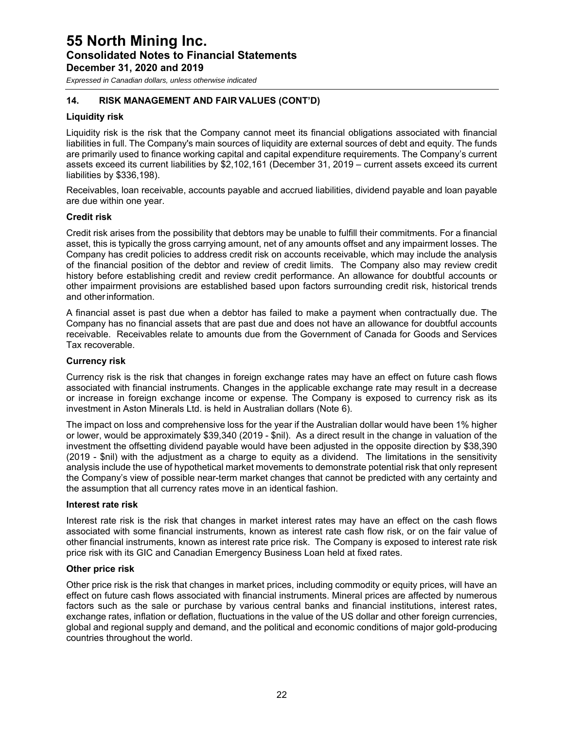*Expressed in Canadian dollars, unless otherwise indicated*

#### **14. RISK MANAGEMENT AND FAIR VALUES (CONT'D)**

#### **Liquidity risk**

Liquidity risk is the risk that the Company cannot meet its financial obligations associated with financial liabilities in full. The Company's main sources of liquidity are external sources of debt and equity. The funds are primarily used to finance working capital and capital expenditure requirements. The Company's current assets exceed its current liabilities by \$2,102,161 (December 31, 2019 – current assets exceed its current liabilities by \$336,198).

Receivables, loan receivable, accounts payable and accrued liabilities, dividend payable and loan payable are due within one year.

#### **Credit risk**

Credit risk arises from the possibility that debtors may be unable to fulfill their commitments. For a financial asset, this is typically the gross carrying amount, net of any amounts offset and any impairment losses. The Company has credit policies to address credit risk on accounts receivable, which may include the analysis of the financial position of the debtor and review of credit limits. The Company also may review credit history before establishing credit and review credit performance. An allowance for doubtful accounts or other impairment provisions are established based upon factors surrounding credit risk, historical trends and other information.

A financial asset is past due when a debtor has failed to make a payment when contractually due. The Company has no financial assets that are past due and does not have an allowance for doubtful accounts receivable. Receivables relate to amounts due from the Government of Canada for Goods and Services Tax recoverable.

#### **Currency risk**

Currency risk is the risk that changes in foreign exchange rates may have an effect on future cash flows associated with financial instruments. Changes in the applicable exchange rate may result in a decrease or increase in foreign exchange income or expense. The Company is exposed to currency risk as its investment in Aston Minerals Ltd. is held in Australian dollars (Note 6).

The impact on loss and comprehensive loss for the year if the Australian dollar would have been 1% higher or lower, would be approximately \$39,340 (2019 - \$nil). As a direct result in the change in valuation of the investment the offsetting dividend payable would have been adjusted in the opposite direction by \$38,390 (2019 - \$nil) with the adjustment as a charge to equity as a dividend. The limitations in the sensitivity analysis include the use of hypothetical market movements to demonstrate potential risk that only represent the Company's view of possible near-term market changes that cannot be predicted with any certainty and the assumption that all currency rates move in an identical fashion.

#### **Interest rate risk**

Interest rate risk is the risk that changes in market interest rates may have an effect on the cash flows associated with some financial instruments, known as interest rate cash flow risk, or on the fair value of other financial instruments, known as interest rate price risk. The Company is exposed to interest rate risk price risk with its GIC and Canadian Emergency Business Loan held at fixed rates.

#### **Other price risk**

Other price risk is the risk that changes in market prices, including commodity or equity prices, will have an effect on future cash flows associated with financial instruments. Mineral prices are affected by numerous factors such as the sale or purchase by various central banks and financial institutions, interest rates, exchange rates, inflation or deflation, fluctuations in the value of the US dollar and other foreign currencies, global and regional supply and demand, and the political and economic conditions of major gold-producing countries throughout the world.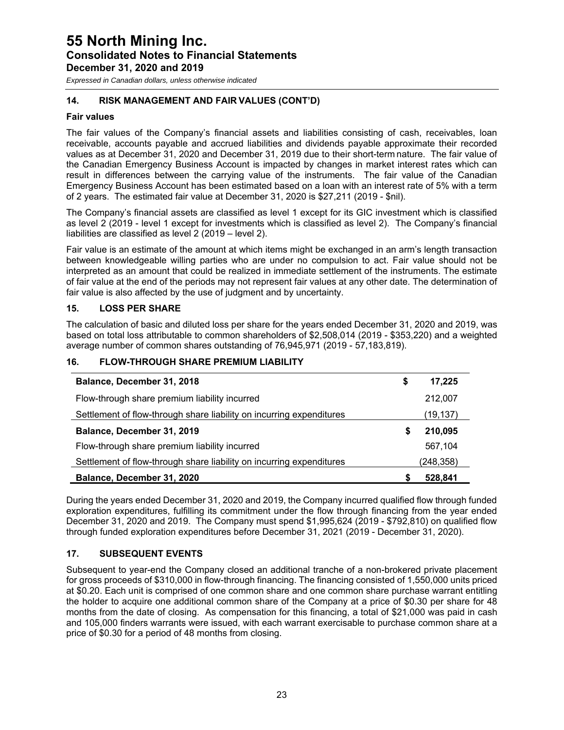*Expressed in Canadian dollars, unless otherwise indicated*

#### **14. RISK MANAGEMENT AND FAIR VALUES (CONT'D)**

#### **Fair values**

The fair values of the Company's financial assets and liabilities consisting of cash, receivables, loan receivable, accounts payable and accrued liabilities and dividends payable approximate their recorded values as at December 31, 2020 and December 31, 2019 due to their short-term nature. The fair value of the Canadian Emergency Business Account is impacted by changes in market interest rates which can result in differences between the carrying value of the instruments. The fair value of the Canadian Emergency Business Account has been estimated based on a loan with an interest rate of 5% with a term of 2 years. The estimated fair value at December 31, 2020 is \$27,211 (2019 - \$nil).

The Company's financial assets are classified as level 1 except for its GIC investment which is classified as level 2 (2019 - level 1 except for investments which is classified as level 2). The Company's financial liabilities are classified as level 2 (2019 – level 2).

Fair value is an estimate of the amount at which items might be exchanged in an arm's length transaction between knowledgeable willing parties who are under no compulsion to act. Fair value should not be interpreted as an amount that could be realized in immediate settlement of the instruments. The estimate of fair value at the end of the periods may not represent fair values at any other date. The determination of fair value is also affected by the use of judgment and by uncertainty.

#### **15. LOSS PER SHARE**

The calculation of basic and diluted loss per share for the years ended December 31, 2020 and 2019, was based on total loss attributable to common shareholders of \$2,508,014 (2019 - \$353,220) and a weighted average number of common shares outstanding of 76,945,971 (2019 - 57,183,819).

| Balance, December 31, 2018                                           | S | 17,225    |
|----------------------------------------------------------------------|---|-----------|
| Flow-through share premium liability incurred                        |   | 212,007   |
| Settlement of flow-through share liability on incurring expenditures |   | (19,137)  |
| Balance, December 31, 2019                                           | S | 210.095   |
| Flow-through share premium liability incurred                        |   | 567,104   |
| Settlement of flow-through share liability on incurring expenditures |   | (248,358) |
| Balance, December 31, 2020                                           |   | 528.841   |

#### **16. FLOW-THROUGH SHARE PREMIUM LIABILITY**

During the years ended December 31, 2020 and 2019, the Company incurred qualified flow through funded exploration expenditures, fulfilling its commitment under the flow through financing from the year ended December 31, 2020 and 2019. The Company must spend \$1,995,624 (2019 - \$792,810) on qualified flow through funded exploration expenditures before December 31, 2021 (2019 - December 31, 2020).

#### **17. SUBSEQUENT EVENTS**

Subsequent to year-end the Company closed an additional tranche of a non-brokered private placement for gross proceeds of \$310,000 in flow-through financing. The financing consisted of 1,550,000 units priced at \$0.20. Each unit is comprised of one common share and one common share purchase warrant entitling the holder to acquire one additional common share of the Company at a price of \$0.30 per share for 48 months from the date of closing. As compensation for this financing, a total of \$21,000 was paid in cash and 105,000 finders warrants were issued, with each warrant exercisable to purchase common share at a price of \$0.30 for a period of 48 months from closing.